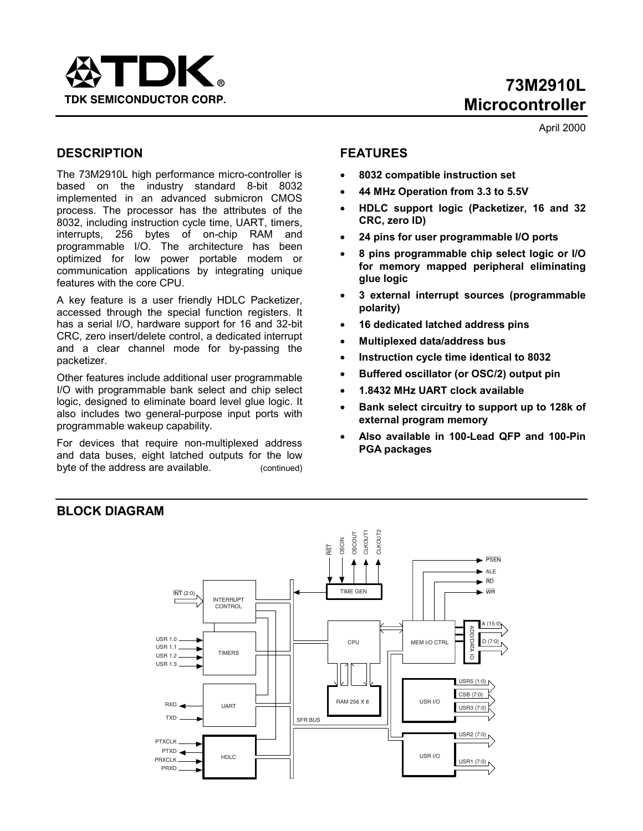

April 2000

## **DESCRIPTION**

The 73M2910L high performance micro-controller is based on the industry standard 8-bit 8032 implemented in an advanced submicron CMOS process. The processor has the attributes of the 8032, including instruction cycle time, UART, timers, interrupts, 256 bytes of on-chip RAM and programmable I/O. The architecture has been optimized for low power portable modem or communication applications by integrating unique features with the core CPU.

A key feature is a user friendly HDLC Packetizer, accessed through the special function registers. It has a serial I/O, hardware support for 16 and 32-bit CRC, zero insert/delete control, a dedicated interrupt and a clear channel mode for by-passing the packetizer.

Other features include additional user programmable I/O with programmable bank select and chip select logic, designed to eliminate board level glue logic. It also includes two general-purpose input ports with programmable wakeup capability.

For devices that require non-multiplexed address and data buses, eight latched outputs for the low byte of the address are available. (continued)

## **FEATURES**

- **8032 compatible instruction set**
- **44 MHz Operation from 3.3 to 5.5V**
- **HDLC support logic (Packetizer, 16 and 32 CRC, zero ID)**
- **24 pins for user programmable I/O ports**
- **8 pins programmable chip select logic or I/O for memory mapped peripheral eliminating glue logic**
- **3 external interrupt sources (programmable polarity)**
- **16 dedicated latched address pins**
- **Multiplexed data/address bus**
- **Instruction cycle time identical to 8032**
- **Buffered oscillator (or OSC/2) output pin**
- **1.8432 MHz UART clock available**
- **Bank select circuitry to support up to 128k of external program memory**
- **Also available in 100-Lead QFP and 100-Pin PGA packages**



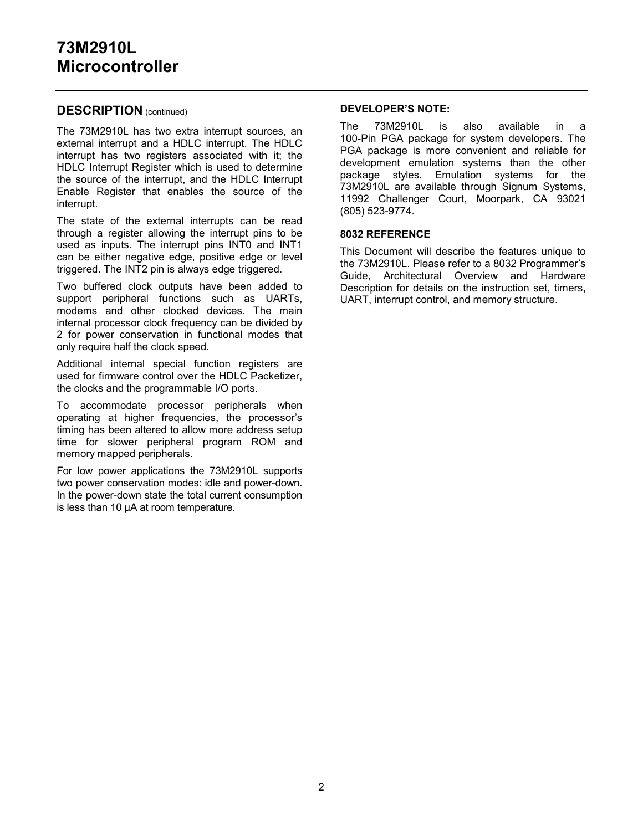## **DESCRIPTION** (continued)

The 73M2910L has two extra interrupt sources, an external interrupt and a HDLC interrupt. The HDLC interrupt has two registers associated with it; the HDLC Interrupt Register which is used to determine the source of the interrupt, and the HDLC Interrupt Enable Register that enables the source of the interrupt.

The state of the external interrupts can be read through a register allowing the interrupt pins to be used as inputs. The interrupt pins INT0 and INT1 can be either negative edge, positive edge or level triggered. The INT2 pin is always edge triggered.

Two buffered clock outputs have been added to support peripheral functions such as UARTs, modems and other clocked devices. The main internal processor clock frequency can be divided by 2 for power conservation in functional modes that only require half the clock speed.

Additional internal special function registers are used for firmware control over the HDLC Packetizer, the clocks and the programmable I/O ports.

To accommodate processor peripherals when operating at higher frequencies, the processor's timing has been altered to allow more address setup time for slower peripheral program ROM and memory mapped peripherals.

For low power applications the 73M2910L supports two power conservation modes: idle and power-down. In the power-down state the total current consumption is less than 10 µA at room temperature.

#### **DEVELOPER'S NOTE:**

The 73M2910L is also available in a 100-Pin PGA package for system developers. The PGA package is more convenient and reliable for development emulation systems than the other package styles. Emulation systems for the 73M2910L are available through Signum Systems, 11992 Challenger Court, Moorpark, CA 93021 (805) 523-9774.

#### **8032 REFERENCE**

This Document will describe the features unique to the 73M2910L. Please refer to a 8032 Programmer's Guide, Architectural Overview and Hardware Description for details on the instruction set, timers, UART, interrupt control, and memory structure.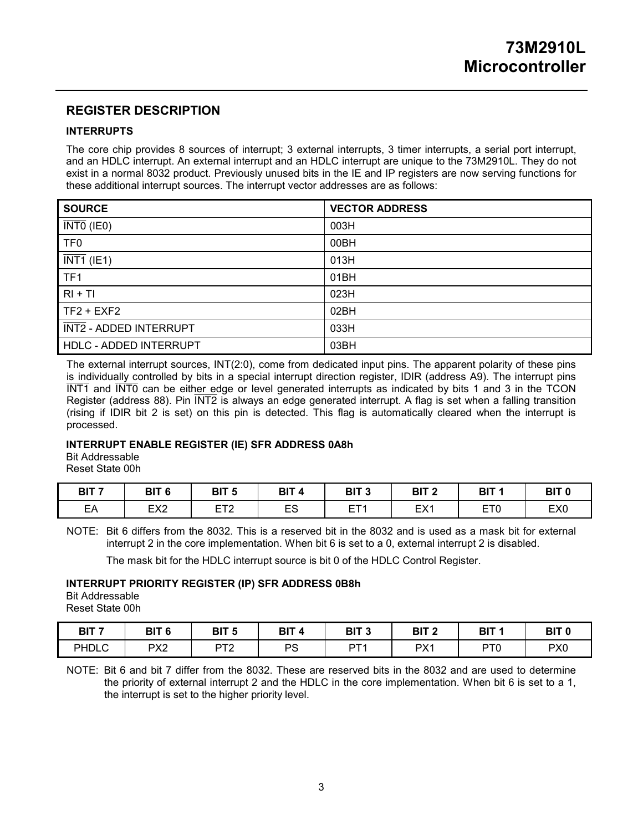## **REGISTER DESCRIPTION**

#### **INTERRUPTS**

The core chip provides 8 sources of interrupt; 3 external interrupts, 3 timer interrupts, a serial port interrupt, and an HDLC interrupt. An external interrupt and an HDLC interrupt are unique to the 73M2910L. They do not exist in a normal 8032 product. Previously unused bits in the IE and IP registers are now serving functions for these additional interrupt sources. The interrupt vector addresses are as follows:

| <b>SOURCE</b>                  | <b>VECTOR ADDRESS</b> |
|--------------------------------|-----------------------|
| $\overline{\text{INT0}}$ (IE0) | 003H                  |
| TF <sub>0</sub>                | 00BH                  |
| $\overline{\text{INT1}}$ (IE1) | 013H                  |
| TF <sub>1</sub>                | 01BH                  |
| $RI + TI$                      | 023H                  |
| $TF2 + EXF2$                   | 02BH                  |
| INT2 - ADDED INTERRUPT         | 033H                  |
| HDLC - ADDED INTERRUPT         | 03BH                  |

The external interrupt sources, INT(2:0), come from dedicated input pins. The apparent polarity of these pins is individually controlled by bits in a special interrupt direction register, IDIR (address A9). The interrupt pins  $\overline{INT1}$  and  $\overline{INT0}$  can be either edge or level generated interrupts as indicated by bits 1 and 3 in the TCON Register (address 88). Pin  $\overline{INT2}$  is always an edge generated interrupt. A flag is set when a falling transition (rising if IDIR bit 2 is set) on this pin is detected. This flag is automatically cleared when the interrupt is processed.

#### **INTERRUPT ENABLE REGISTER (IE) SFR ADDRESS 0A8h**

Bit Addressable Reset State 00h

| BIT <sub>7</sub> | BIT 6           | BIT <sub>5</sub>    | <b>BIT</b> | BIT <sub>3</sub> | ף דום<br>DII | BIT                                   | BIT <sub>0</sub> |
|------------------|-----------------|---------------------|------------|------------------|--------------|---------------------------------------|------------------|
| EА               | EX <sub>2</sub> | ET2<br><u>_ 1 _</u> | ES<br>ᆫᇰ   | <b>CTA</b><br>-  | FY1<br>EA.   | rto <sup>1</sup><br>-<br><u>_ , v</u> | EX <sub>0</sub>  |

NOTE: Bit 6 differs from the 8032. This is a reserved bit in the 8032 and is used as a mask bit for external interrupt 2 in the core implementation. When bit 6 is set to a 0, external interrupt 2 is disabled.

The mask bit for the HDLC interrupt source is bit 0 of the HDLC Control Register.

#### **INTERRUPT PRIORITY REGISTER (IP) SFR ADDRESS 0B8h**

Bit Addressable Reset State 00h

| BIT <sub>7</sub> | BIT 6           | BIT <sub>5</sub> | BIT     | BIT <sub>3</sub> | BIT 2           | BIT             | BIT 0           |
|------------------|-----------------|------------------|---------|------------------|-----------------|-----------------|-----------------|
| <b>PHDLC</b>     | PX <sub>2</sub> | DTC              | DC<br>Č | DT 1             | PX <sub>1</sub> | PT <sub>0</sub> | PX <sub>0</sub> |

NOTE: Bit 6 and bit 7 differ from the 8032. These are reserved bits in the 8032 and are used to determine the priority of external interrupt 2 and the HDLC in the core implementation. When bit 6 is set to a 1, the interrupt is set to the higher priority level.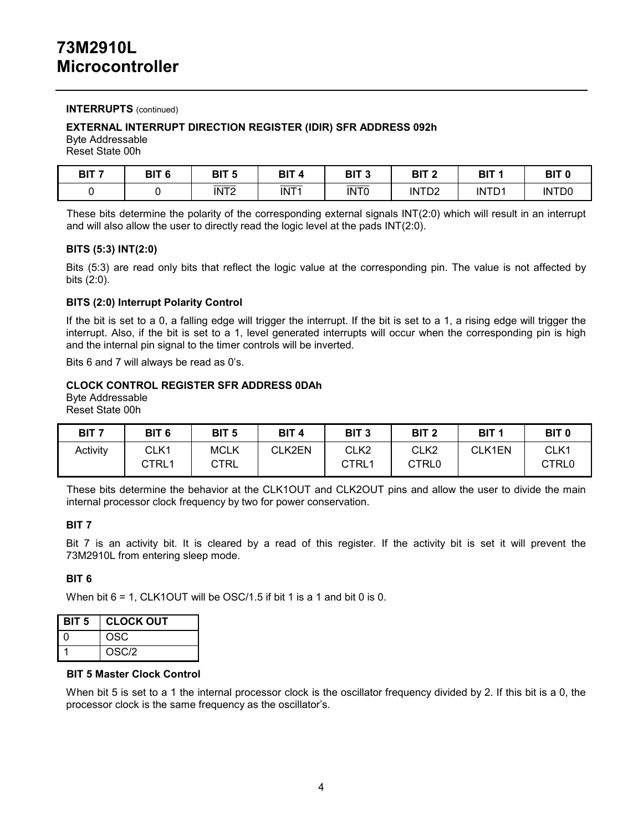### **INTERRUPTS** (continued)

#### **EXTERNAL INTERRUPT DIRECTION REGISTER (IDIR) SFR ADDRESS 092h**

Byte Addressable Reset State 00h

| BIT <sub>7</sub> | BIT <sub>6</sub> | BIT <sub>5</sub>          | DIT<br>- 4<br>ווס | BIT <sub>3</sub>                              | BIT <sub>2</sub>  | BIT '             | BIT <sub>0</sub>  |
|------------------|------------------|---------------------------|-------------------|-----------------------------------------------|-------------------|-------------------|-------------------|
|                  |                  | _____<br>INT <sub>2</sub> | INT <sub>1</sub>  | $\overbrace{\hspace{25mm}}^{}$<br><b>INTO</b> | INTD <sub>2</sub> | INTD <sub>1</sub> | INTD <sub>0</sub> |

These bits determine the polarity of the corresponding external signals INT(2:0) which will result in an interrupt and will also allow the user to directly read the logic level at the pads INT(2:0).

#### **BITS (5:3) INT(2:0)**

Bits (5:3) are read only bits that reflect the logic value at the corresponding pin. The value is not affected by bits (2:0).

#### **BITS (2:0) Interrupt Polarity Control**

If the bit is set to a 0, a falling edge will trigger the interrupt. If the bit is set to a 1, a rising edge will trigger the interrupt. Also, if the bit is set to a 1, level generated interrupts will occur when the corresponding pin is high and the internal pin signal to the timer controls will be inverted.

Bits 6 and 7 will always be read as 0's.

#### **CLOCK CONTROL REGISTER SFR ADDRESS 0DAh**

Byte Addressable Reset State 00h

| BIT <sub>7</sub> | BIT <sub>6</sub> | BIT <sub>5</sub> | BIT <sub>4</sub> | BIT <sub>3</sub> | BIT <sub>2</sub> | BIT <sub>1</sub> | BIT <sub>0</sub> |
|------------------|------------------|------------------|------------------|------------------|------------------|------------------|------------------|
| Activity         | CLK1             | <b>MCLK</b>      | CLK2EN           | CLK <sub>2</sub> | CLK2             | CLK1EN           | CLK1             |
|                  | CTRL1            | CTRL             |                  | CTRL1            | CTRL0            |                  | CTRL0            |

These bits determine the behavior at the CLK1OUT and CLK2OUT pins and allow the user to divide the main internal processor clock frequency by two for power conservation.

#### **BIT 7**

Bit 7 is an activity bit. It is cleared by a read of this register. If the activity bit is set it will prevent the 73M2910L from entering sleep mode.

#### **BIT 6**

When bit 6 = 1, CLK1OUT will be OSC/1.5 if bit 1 is a 1 and bit 0 is 0.

| BIT <sub>5</sub> | <b>CLOCK OUT</b> |
|------------------|------------------|
| n                | <b>OSC</b>       |
|                  | OSC/2            |

#### **BIT 5 Master Clock Control**

When bit 5 is set to a 1 the internal processor clock is the oscillator frequency divided by 2. If this bit is a 0, the processor clock is the same frequency as the oscillator's.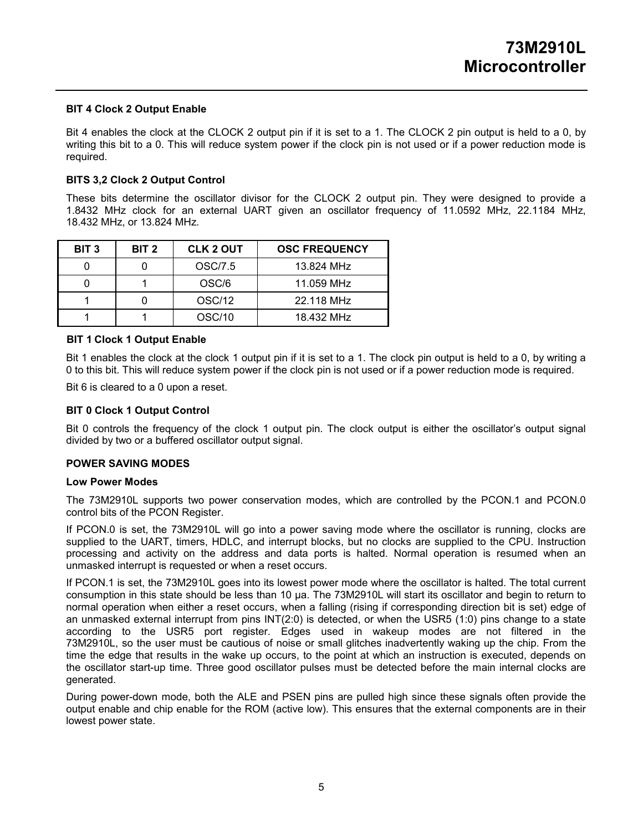#### **BIT 4 Clock 2 Output Enable**

Bit 4 enables the clock at the CLOCK 2 output pin if it is set to a 1. The CLOCK 2 pin output is held to a 0, by writing this bit to a 0. This will reduce system power if the clock pin is not used or if a power reduction mode is required.

#### **BITS 3,2 Clock 2 Output Control**

These bits determine the oscillator divisor for the CLOCK 2 output pin. They were designed to provide a 1.8432 MHz clock for an external UART given an oscillator frequency of 11.0592 MHz, 22.1184 MHz, 18.432 MHz, or 13.824 MHz.

| BIT <sub>3</sub> | BIT <sub>2</sub> | <b>CLK 2 OUT</b> | <b>OSC FREQUENCY</b> |
|------------------|------------------|------------------|----------------------|
|                  |                  | OSC/7.5          | 13.824 MHz           |
|                  |                  | OSC/6            | 11.059 MHz           |
|                  |                  | <b>OSC/12</b>    | 22.118 MHz           |
|                  |                  | OSC/10           | 18.432 MHz           |

#### **BIT 1 Clock 1 Output Enable**

Bit 1 enables the clock at the clock 1 output pin if it is set to a 1. The clock pin output is held to a 0, by writing a 0 to this bit. This will reduce system power if the clock pin is not used or if a power reduction mode is required.

Bit 6 is cleared to a 0 upon a reset.

#### **BIT 0 Clock 1 Output Control**

Bit 0 controls the frequency of the clock 1 output pin. The clock output is either the oscillator's output signal divided by two or a buffered oscillator output signal.

#### **POWER SAVING MODES**

#### **Low Power Modes**

The 73M2910L supports two power conservation modes, which are controlled by the PCON.1 and PCON.0 control bits of the PCON Register.

If PCON.0 is set, the 73M2910L will go into a power saving mode where the oscillator is running, clocks are supplied to the UART, timers, HDLC, and interrupt blocks, but no clocks are supplied to the CPU. Instruction processing and activity on the address and data ports is halted. Normal operation is resumed when an unmasked interrupt is requested or when a reset occurs.

If PCON.1 is set, the 73M2910L goes into its lowest power mode where the oscillator is halted. The total current consumption in this state should be less than 10 µa. The 73M2910L will start its oscillator and begin to return to normal operation when either a reset occurs, when a falling (rising if corresponding direction bit is set) edge of an unmasked external interrupt from pins INT(2:0) is detected, or when the USR5 (1:0) pins change to a state according to the USR5 port register. Edges used in wakeup modes are not filtered in the 73M2910L, so the user must be cautious of noise or small glitches inadvertently waking up the chip. From the time the edge that results in the wake up occurs, to the point at which an instruction is executed, depends on the oscillator start-up time. Three good oscillator pulses must be detected before the main internal clocks are generated.

During power-down mode, both the ALE and PSEN pins are pulled high since these signals often provide the output enable and chip enable for the ROM (active low). This ensures that the external components are in their lowest power state.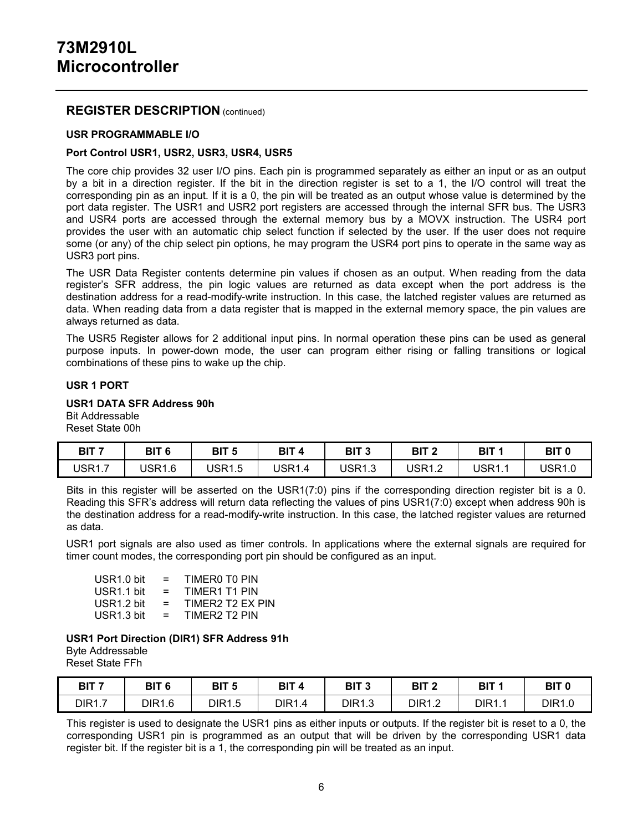### **REGISTER DESCRIPTION** (continued)

#### **USR PROGRAMMABLE I/O**

#### **Port Control USR1, USR2, USR3, USR4, USR5**

The core chip provides 32 user I/O pins. Each pin is programmed separately as either an input or as an output by a bit in a direction register. If the bit in the direction register is set to a 1, the I/O control will treat the corresponding pin as an input. If it is a 0, the pin will be treated as an output whose value is determined by the port data register. The USR1 and USR2 port registers are accessed through the internal SFR bus. The USR3 and USR4 ports are accessed through the external memory bus by a MOVX instruction. The USR4 port provides the user with an automatic chip select function if selected by the user. If the user does not require some (or any) of the chip select pin options, he may program the USR4 port pins to operate in the same way as USR3 port pins.

The USR Data Register contents determine pin values if chosen as an output. When reading from the data register's SFR address, the pin logic values are returned as data except when the port address is the destination address for a read-modify-write instruction. In this case, the latched register values are returned as data. When reading data from a data register that is mapped in the external memory space, the pin values are always returned as data.

The USR5 Register allows for 2 additional input pins. In normal operation these pins can be used as general purpose inputs. In power-down mode, the user can program either rising or falling transitions or logical combinations of these pins to wake up the chip.

#### **USR 1 PORT**

#### **USR1 DATA SFR Address 90h**

Bit Addressable Reset State 00h

| BIT 7         | BIT 6         | BIT 5                           | BIT <sub>4</sub> | BIT <sub>3</sub> | BIT <sub>2</sub> | BIT '  | BIT <sub>0</sub> |
|---------------|---------------|---------------------------------|------------------|------------------|------------------|--------|------------------|
| <b>JSR1.7</b> | <b>USR1.6</b> | USR <sup>1</sup><br>∽<br>\ I .J | USR1.4           | USR1.3           | USR1.2           | USR1.1 | USR1.0           |

Bits in this register will be asserted on the USR1(7:0) pins if the corresponding direction register bit is a 0. Reading this SFR's address will return data reflecting the values of pins USR1(7:0) except when address 90h is the destination address for a read-modify-write instruction. In this case, the latched register values are returned as data.

USR1 port signals are also used as timer controls. In applications where the external signals are required for timer count modes, the corresponding port pin should be configured as an input.

 $USR1.0 \text{ bit}$  = TIMER0 T0 PIN  $USR1.1 \text{ bit}$  = TIMER1 T1 PIN USR1.2 bit  $=$  TIMER2 T2 EX PIN  $USR1.3 \text{ bit}$  = TIMER2 T2 PIN

## **USR1 Port Direction (DIR1) SFR Address 91h**

Byte Addressable

Reset State FFh

| BIT 7         | BIT 6         | BIT <sub>5</sub> | BIT 4         | BIT 3         | BIT <sub>2</sub> | BIT           | BIT <sub>0</sub> |
|---------------|---------------|------------------|---------------|---------------|------------------|---------------|------------------|
| <b>DIR1.7</b> | <b>DIR1.6</b> | <b>DIR1.5</b>    | <b>DIR1.4</b> | <b>DIR1.3</b> | DIR1             | <b>DIR1.1</b> | DIR1.0           |

This register is used to designate the USR1 pins as either inputs or outputs. If the register bit is reset to a 0, the corresponding USR1 pin is programmed as an output that will be driven by the corresponding USR1 data register bit. If the register bit is a 1, the corresponding pin will be treated as an input.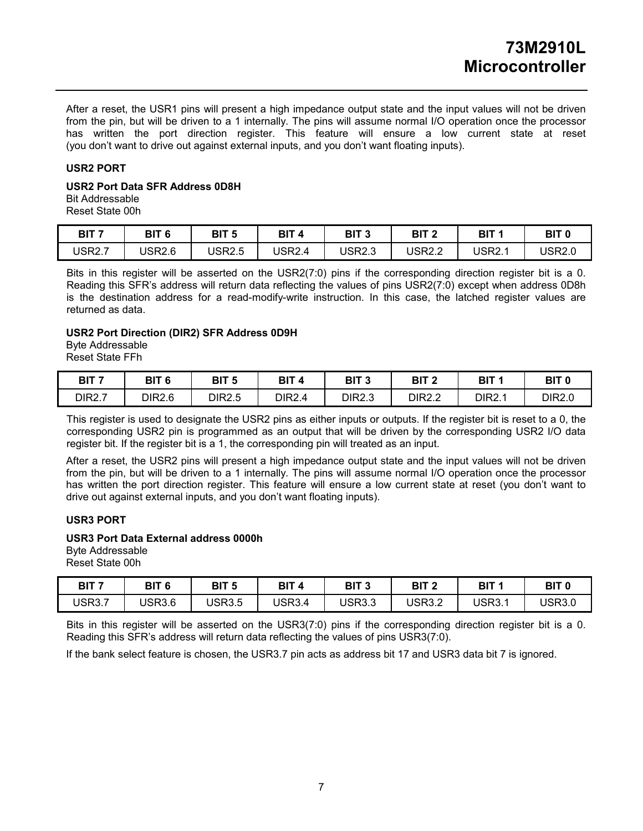After a reset, the USR1 pins will present a high impedance output state and the input values will not be driven from the pin, but will be driven to a 1 internally. The pins will assume normal I/O operation once the processor has written the port direction register. This feature will ensure a low current state at reset (you don't want to drive out against external inputs, and you don't want floating inputs).

#### **USR2 PORT**

### **USR2 Port Data SFR Address 0D8H**

Bit Addressable Reset State 00h

| BIT <sub>7</sub> | BIT 6         | BIT <sub>5</sub> | <b>BIT</b>   | BIT 3         | BIT 2  | BIT 1              | BIT <sub>0</sub> |
|------------------|---------------|------------------|--------------|---------------|--------|--------------------|------------------|
| <b>USR2.7</b>    | <b>USR2.6</b> | <b>USR2.5</b>    | USR2.4<br>۰4 | <b>USR2.3</b> | USR2.2 | USR <sub>2.1</sub> | <b>JSR2.0</b>    |

Bits in this register will be asserted on the USR2(7:0) pins if the corresponding direction register bit is a 0. Reading this SFR's address will return data reflecting the values of pins USR2(7:0) except when address 0D8h is the destination address for a read-modify-write instruction. In this case, the latched register values are returned as data.

#### **USR2 Port Direction (DIR2) SFR Address 0D9H**

Byte Addressable Reset State FFh

| BIT 7         | BIT 6<br><u>ы.</u> | BIT <sub>5</sub> | BIT /<br>-4 | <b>BIT 3</b> | BIT <sub>2</sub> | BIT 1  | BIT <sub>0</sub> |
|---------------|--------------------|------------------|-------------|--------------|------------------|--------|------------------|
| <b>DIR2.7</b> | <b>DIR2.6</b>      | <b>DIR2.5</b>    | DIR2.4      | DIR2.3       | DIR2.2           | DIR2.1 | DIR2.0           |

This register is used to designate the USR2 pins as either inputs or outputs. If the register bit is reset to a 0, the corresponding USR2 pin is programmed as an output that will be driven by the corresponding USR2 I/O data register bit. If the register bit is a 1, the corresponding pin will treated as an input.

After a reset, the USR2 pins will present a high impedance output state and the input values will not be driven from the pin, but will be driven to a 1 internally. The pins will assume normal I/O operation once the processor has written the port direction register. This feature will ensure a low current state at reset (you don't want to drive out against external inputs, and you don't want floating inputs).

### **USR3 PORT**

## **USR3 Port Data External address 0000h**

Byte Addressable Reset State 00h

| BIT <sub>7</sub> | BIT 6         | BIT <sub>5</sub> | BIT<br>4      | <b>BIT 3</b> | BIT <sub>2</sub> | BIT 1         | BIT 0  |
|------------------|---------------|------------------|---------------|--------------|------------------|---------------|--------|
| <b>USR3.7</b>    | <b>JSR3.6</b> | USR3.5           | <b>USR3.4</b> | USR3.3       | USR3.2           | <b>USR3.1</b> | USR3.0 |

Bits in this register will be asserted on the USR3(7:0) pins if the corresponding direction register bit is a 0. Reading this SFR's address will return data reflecting the values of pins USR3(7:0).

If the bank select feature is chosen, the USR3.7 pin acts as address bit 17 and USR3 data bit 7 is ignored.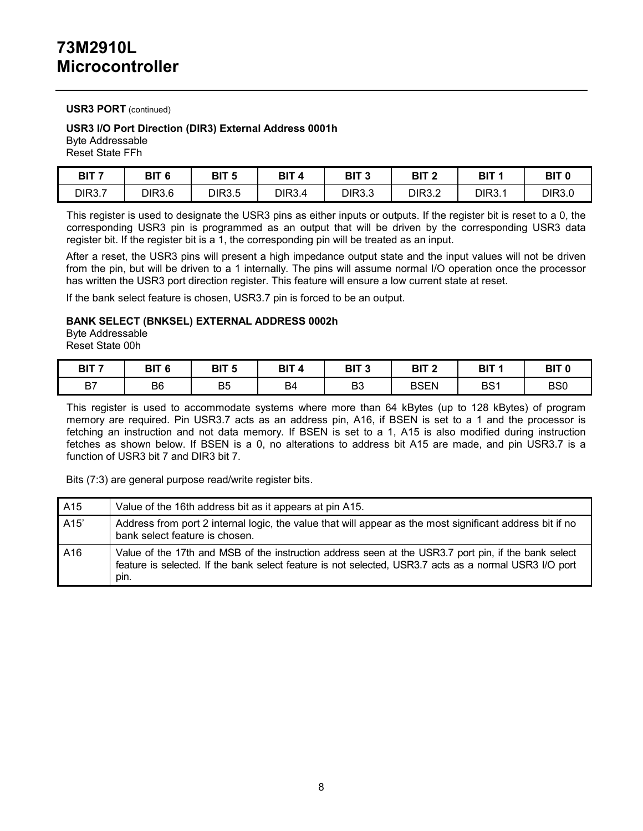#### **USR3 PORT** (continued)

## **USR3 I/O Port Direction (DIR3) External Address 0001h**

Byte Addressable Reset State FFh

| BIT <sub>7</sub> | BIT <sub>6</sub> | BIT <sub>5</sub> | <b>BIT</b><br>Δ | BIT 3         | BIT <sub>2</sub> | BIT <sub>1</sub> | BIT <sub>0</sub> |
|------------------|------------------|------------------|-----------------|---------------|------------------|------------------|------------------|
| DIR3.7           | <b>DIR3.6</b>    | <b>DIR3.5</b>    | <b>DIR3.4</b>   | <b>DIR3.3</b> | DIR3.2           | DIR3.1           | DIR3.0           |

This register is used to designate the USR3 pins as either inputs or outputs. If the register bit is reset to a 0, the corresponding USR3 pin is programmed as an output that will be driven by the corresponding USR3 data register bit. If the register bit is a 1, the corresponding pin will be treated as an input.

After a reset, the USR3 pins will present a high impedance output state and the input values will not be driven from the pin, but will be driven to a 1 internally. The pins will assume normal I/O operation once the processor has written the USR3 port direction register. This feature will ensure a low current state at reset.

If the bank select feature is chosen, USR3.7 pin is forced to be an output.

#### **BANK SELECT (BNKSEL) EXTERNAL ADDRESS 0002h**

Byte Addressable Reset State 00h

| BIT <sub>7</sub> | BIT <sub>6</sub> | BIT <sub>5</sub> | <b>BIT</b><br>4 | BIT <sub>3</sub> | BIT <sub>2</sub> | BIT 1           | BIT <sub>0</sub> |
|------------------|------------------|------------------|-----------------|------------------|------------------|-----------------|------------------|
| B7               | B <sub>6</sub>   | B <sub>5</sub>   | B4              | DO.<br>DЭ        | <b>BSEN</b>      | BS <sub>1</sub> | BS <sub>0</sub>  |

This register is used to accommodate systems where more than 64 kBytes (up to 128 kBytes) of program memory are required. Pin USR3.7 acts as an address pin, A16, if BSEN is set to a 1 and the processor is fetching an instruction and not data memory. If BSEN is set to a 1, A15 is also modified during instruction fetches as shown below. If BSEN is a 0, no alterations to address bit A15 are made, and pin USR3.7 is a function of USR3 bit 7 and DIR3 bit 7.

Bits (7:3) are general purpose read/write register bits.

| A15  | Value of the 16th address bit as it appears at pin A15.                                                                                                                                                                |
|------|------------------------------------------------------------------------------------------------------------------------------------------------------------------------------------------------------------------------|
| A15' | Address from port 2 internal logic, the value that will appear as the most significant address bit if no<br>bank select feature is chosen.                                                                             |
| A16  | Value of the 17th and MSB of the instruction address seen at the USR3.7 port pin, if the bank select<br>feature is selected. If the bank select feature is not selected, USR3.7 acts as a normal USR3 I/O port<br>pin. |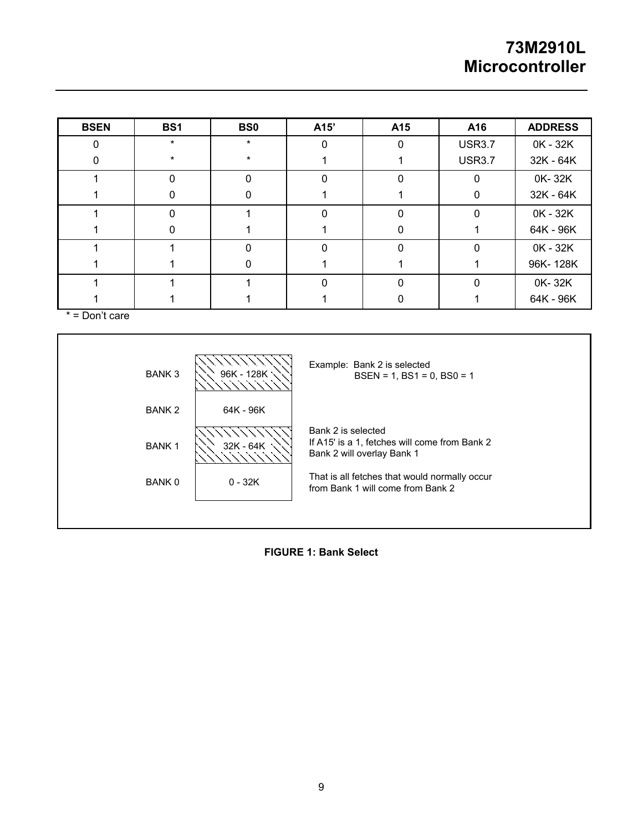| <b>BSEN</b> | BS1     | BS <sub>0</sub> | A15' | A15 | A16           | <b>ADDRESS</b> |
|-------------|---------|-----------------|------|-----|---------------|----------------|
|             | $\star$ | $\star$         |      | ი   | <b>USR3.7</b> | 0K - 32K       |
|             | $\ast$  | $\star$         |      |     | <b>USR3.7</b> | 32K - 64K      |
|             |         | 0               |      |     | $\Omega$      | 0K-32K         |
|             |         | 0               |      |     | 0             | 32K - 64K      |
|             | U       |                 | O    | 0   | $\Omega$      | 0K - 32K       |
|             |         |                 |      |     |               | 64K - 96K      |
|             |         |                 |      |     | $\Omega$      | 0K - 32K       |
|             |         |                 |      |     |               | 96K-128K       |
|             |         |                 |      |     | $\Omega$      | 0K-32K         |
|             |         |                 |      |     |               | 64K - 96K      |

 $* =$  Don't care



**FIGURE 1: Bank Select**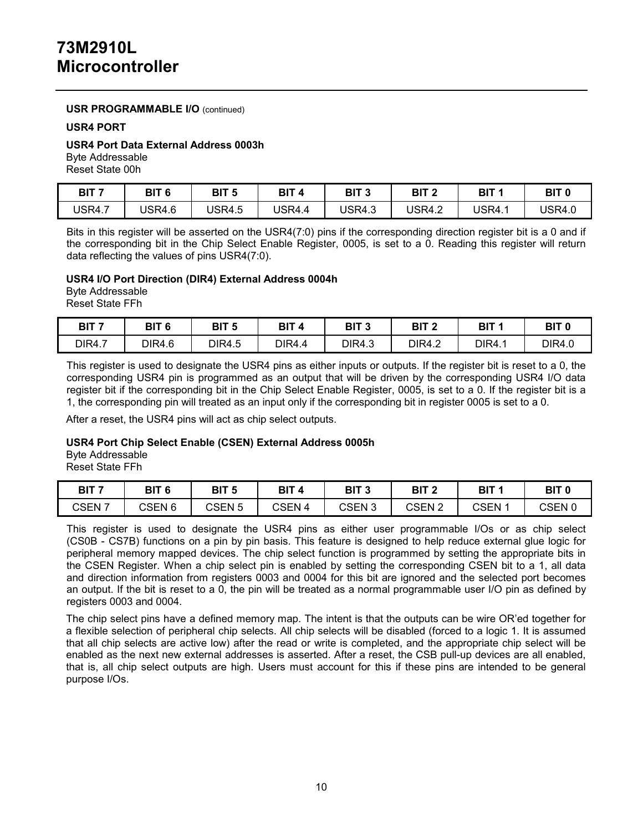#### **USR PROGRAMMABLE I/O** (continued)

#### **USR4 PORT**

#### **USR4 Port Data External Address 0003h**

Byte Addressable

Reset State 00h

| BIT <sub>7</sub> | BIT <sub>6</sub> | <b>BIT 5</b>  | BIT    | <b>BIT ?</b>  | BIT <sub>2</sub> | BIT 1 | BIT <sub>0</sub> |
|------------------|------------------|---------------|--------|---------------|------------------|-------|------------------|
| <b>USR4.7</b>    | <b>JSR4.6</b>    | <b>USR4.5</b> | USR4.4 | <b>USR4.3</b> | <b>USR4.2</b>    | USR4. | USR4.0           |

Bits in this register will be asserted on the USR4(7:0) pins if the corresponding direction register bit is a 0 and if the corresponding bit in the Chip Select Enable Register, 0005, is set to a 0. Reading this register will return data reflecting the values of pins USR4(7:0).

#### **USR4 I/O Port Direction (DIR4) External Address 0004h**

Byte Addressable Reset State FFh

| BIT 7         | DIT C<br>DI)<br>ю | BIT<br>-<br>ю | OIT.<br>A     | פ דום<br>ы<br>- 11 | BIT <sub>2</sub> | BIT           | BIT <sub>0</sub> |
|---------------|-------------------|---------------|---------------|--------------------|------------------|---------------|------------------|
| <b>DIR4.7</b> | DIR4.6            | DIR4.5        | <b>DIR4.4</b> | DIR4.3             | <b>DIR4.2</b>    | <b>DIR4.1</b> | DIR4.0           |

This register is used to designate the USR4 pins as either inputs or outputs. If the register bit is reset to a 0, the corresponding USR4 pin is programmed as an output that will be driven by the corresponding USR4 I/O data register bit if the corresponding bit in the Chip Select Enable Register, 0005, is set to a 0. If the register bit is a 1, the corresponding pin will treated as an input only if the corresponding bit in register 0005 is set to a 0.

After a reset, the USR4 pins will act as chip select outputs.

#### **USR4 Port Chip Select Enable (CSEN) External Address 0005h**

Byte Addressable

Reset State FFh

| BIT 7             | BIT <sub>6</sub> | BIT <sub>5</sub> | BIT<br>Δ | <b>BIT</b><br>- 1 | BIT <sub>2</sub> | BIT             | <b>BIT C</b> |
|-------------------|------------------|------------------|----------|-------------------|------------------|-----------------|--------------|
| CSEN <sub>7</sub> | <b>CSEN 6</b>    | CSEN 5           | CSEN 4   | CSEN<br>J         | CSEN             | CSEN $^{\cdot}$ | CSEN 0       |

This register is used to designate the USR4 pins as either user programmable I/Os or as chip select (CS0B - CS7B) functions on a pin by pin basis. This feature is designed to help reduce external glue logic for peripheral memory mapped devices. The chip select function is programmed by setting the appropriate bits in the CSEN Register. When a chip select pin is enabled by setting the corresponding CSEN bit to a 1, all data and direction information from registers 0003 and 0004 for this bit are ignored and the selected port becomes an output. If the bit is reset to a 0, the pin will be treated as a normal programmable user I/O pin as defined by registers 0003 and 0004.

The chip select pins have a defined memory map. The intent is that the outputs can be wire OR'ed together for a flexible selection of peripheral chip selects. All chip selects will be disabled (forced to a logic 1. It is assumed that all chip selects are active low) after the read or write is completed, and the appropriate chip select will be enabled as the next new external addresses is asserted. After a reset, the CSB pull-up devices are all enabled, that is, all chip select outputs are high. Users must account for this if these pins are intended to be general purpose I/Os.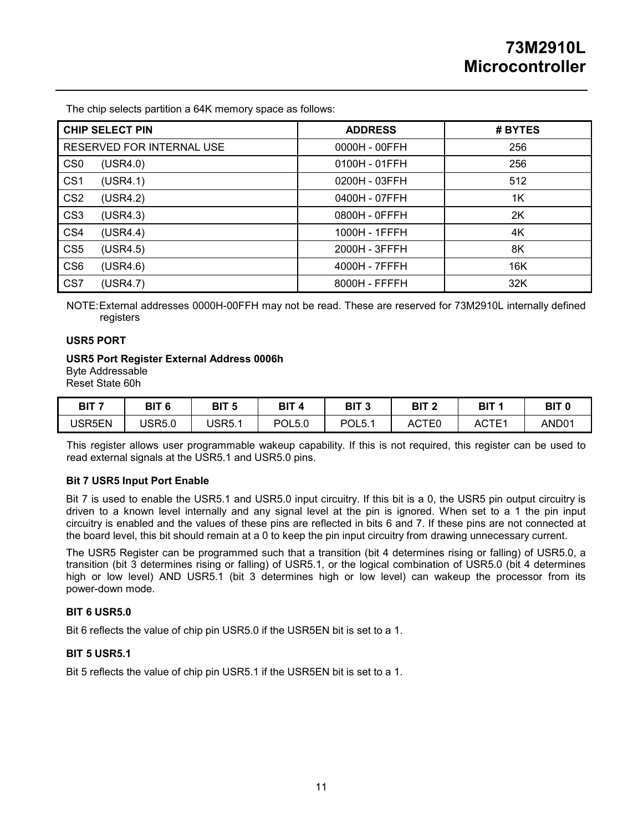The chip selects partition a 64K memory space as follows:

| <b>CHIP SELECT PIN</b>      | <b>ADDRESS</b> | # BYTES |
|-----------------------------|----------------|---------|
| RESERVED FOR INTERNAL USE   | 0000H - 00FFH  | 256     |
| CS <sub>0</sub><br>(USR4.0) | 0100H - 01FFH  | 256     |
| CS <sub>1</sub><br>(USR4.1) | 0200H - 03FFH  | 512     |
| CS <sub>2</sub><br>(USR4.2) | 0400H - 07FFH  | 1K      |
| CS <sub>3</sub><br>(USR4.3) | 0800H - 0FFFH  | 2K      |
| CS <sub>4</sub><br>(USR4.4) | 1000H - 1FFFH  | 4K      |
| CS <sub>5</sub><br>(USR4.5) | 2000H - 3FFFH  | 8K      |
| CS <sub>6</sub><br>(USR4.6) | 4000H - 7FFFH  | 16K     |
| CS <sub>7</sub><br>(USR4.7) | 8000H - FFFFH  | 32K     |

NOTE: External addresses 0000H-00FFH may not be read. These are reserved for 73M2910L internally defined registers

#### **USR5 PORT**

#### **USR5 Port Register External Address 0006h**

Byte Addressable

Reset State 60h

| BIT 7         | BIT <sub>6</sub> | BIT<br>5 | BIT<br>A      | BIT 3 | BIT 2 | <b>BIT</b>        | BIT (            |
|---------------|------------------|----------|---------------|-------|-------|-------------------|------------------|
| <b>JSR5EN</b> | <b>JSR5.0</b>    | USR5.    | <b>POL5.0</b> | POL5. | ACTE0 | ACTE <sup>1</sup> | AND <sub>0</sub> |

This register allows user programmable wakeup capability. If this is not required, this register can be used to read external signals at the USR5.1 and USR5.0 pins.

#### **Bit 7 USR5 Input Port Enable**

Bit 7 is used to enable the USR5.1 and USR5.0 input circuitry. If this bit is a 0, the USR5 pin output circuitry is driven to a known level internally and any signal level at the pin is ignored. When set to a 1 the pin input circuitry is enabled and the values of these pins are reflected in bits 6 and 7. If these pins are not connected at the board level, this bit should remain at a 0 to keep the pin input circuitry from drawing unnecessary current.

The USR5 Register can be programmed such that a transition (bit 4 determines rising or falling) of USR5.0, a transition (bit 3 determines rising or falling) of USR5.1, or the logical combination of USR5.0 (bit 4 determines high or low level) AND USR5.1 (bit 3 determines high or low level) can wakeup the processor from its power-down mode.

#### **BIT 6 USR5.0**

Bit 6 reflects the value of chip pin USR5.0 if the USR5EN bit is set to a 1.

#### **BIT 5 USR5.1**

Bit 5 reflects the value of chip pin USR5.1 if the USR5EN bit is set to a 1.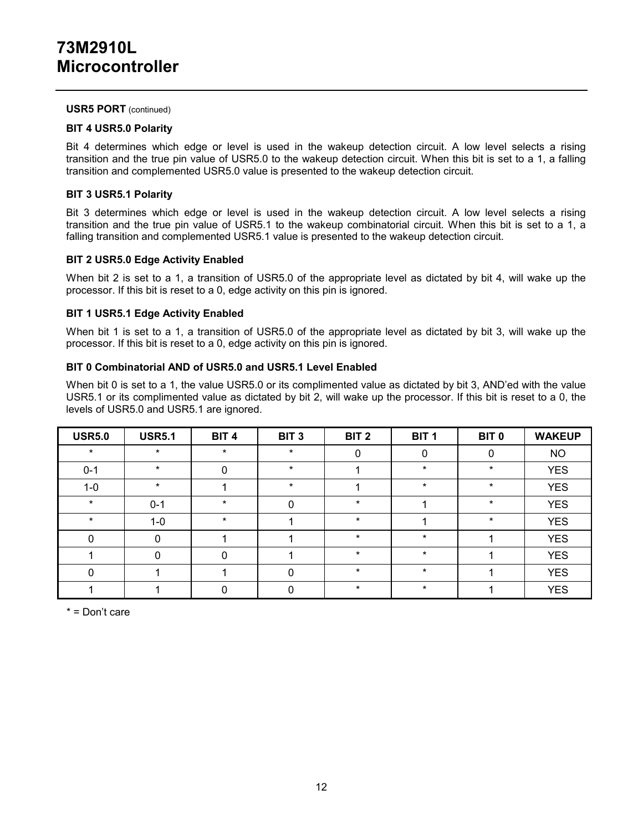#### **USR5 PORT** (continued)

#### **BIT 4 USR5.0 Polarity**

Bit 4 determines which edge or level is used in the wakeup detection circuit. A low level selects a rising transition and the true pin value of USR5.0 to the wakeup detection circuit. When this bit is set to a 1, a falling transition and complemented USR5.0 value is presented to the wakeup detection circuit.

#### **BIT 3 USR5.1 Polarity**

Bit 3 determines which edge or level is used in the wakeup detection circuit. A low level selects a rising transition and the true pin value of USR5.1 to the wakeup combinatorial circuit. When this bit is set to a 1, a falling transition and complemented USR5.1 value is presented to the wakeup detection circuit.

#### **BIT 2 USR5.0 Edge Activity Enabled**

When bit 2 is set to a 1, a transition of USR5.0 of the appropriate level as dictated by bit 4, will wake up the processor. If this bit is reset to a 0, edge activity on this pin is ignored.

#### **BIT 1 USR5.1 Edge Activity Enabled**

When bit 1 is set to a 1, a transition of USR5.0 of the appropriate level as dictated by bit 3, will wake up the processor. If this bit is reset to a 0, edge activity on this pin is ignored.

#### **BIT 0 Combinatorial AND of USR5.0 and USR5.1 Level Enabled**

When bit 0 is set to a 1, the value USR5.0 or its complimented value as dictated by bit 3, AND'ed with the value USR5.1 or its complimented value as dictated by bit 2, will wake up the processor. If this bit is reset to a 0, the levels of USR5.0 and USR5.1 are ignored.

| <b>USR5.0</b> | <b>USR5.1</b> | BIT <sub>4</sub> | BIT <sub>3</sub> | BIT <sub>2</sub> | BIT <sub>1</sub> | BIT <sub>0</sub> | <b>WAKEUP</b> |
|---------------|---------------|------------------|------------------|------------------|------------------|------------------|---------------|
| $\star$       | $\star$       | $\star$          | $\star$          | 0                |                  | 0                | <b>NO</b>     |
| $0 - 1$       | $\star$       | 0                | $\ast$           |                  | $\ast$           | $\ast$           | <b>YES</b>    |
| $1 - 0$       | $\star$       |                  | $\ast$           |                  | $\ast$           | $\ast$           | <b>YES</b>    |
| $\star$       | $0 - 1$       | $\star$          | 0                | $\star$          |                  | $\star$          | <b>YES</b>    |
| $\star$       | $1 - 0$       | $\star$          |                  | $\star$          |                  | $\star$          | <b>YES</b>    |
| 0             | $\Omega$      |                  |                  | $\star$          | $\star$          |                  | <b>YES</b>    |
|               | <sup>0</sup>  | 0                |                  | $\star$          | $\ast$           |                  | <b>YES</b>    |
| 0             |               |                  | 0                | $\star$          | $\star$          |                  | <b>YES</b>    |
|               |               |                  | 0                | $\star$          | $\ast$           |                  | <b>YES</b>    |

\* = Don't care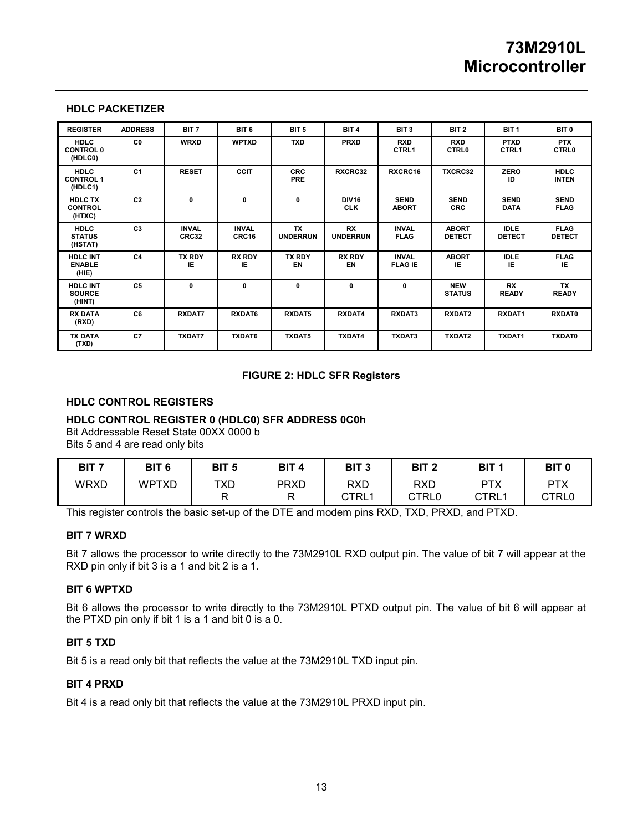#### **HDLC PACKETIZER**

| <b>REGISTER</b>                            | <b>ADDRESS</b> | BIT <sub>7</sub>      | BIT <sub>6</sub>      | BIT <sub>5</sub>             | BIT <sub>4</sub>             | BIT <sub>3</sub>               | BIT <sub>2</sub>              | BIT <sub>1</sub>             | BIT <sub>0</sub>             |
|--------------------------------------------|----------------|-----------------------|-----------------------|------------------------------|------------------------------|--------------------------------|-------------------------------|------------------------------|------------------------------|
| <b>HDLC</b><br><b>CONTROL 0</b><br>(HDLC0) | C <sub>0</sub> | <b>WRXD</b>           | <b>WPTXD</b>          | <b>TXD</b>                   | <b>PRXD</b>                  | <b>RXD</b><br>CTRL1            | <b>RXD</b><br><b>CTRL0</b>    | <b>PTXD</b><br>CTRL1         | <b>PTX</b><br><b>CTRL0</b>   |
| <b>HDLC</b><br><b>CONTROL 1</b><br>(HDLC1) | C <sub>1</sub> | <b>RESET</b>          | <b>CCIT</b>           | <b>CRC</b><br><b>PRE</b>     | RXCRC32                      | RXCRC16                        | <b>TXCRC32</b>                | <b>ZERO</b><br>ID            | <b>HDLC</b><br><b>INTEN</b>  |
| <b>HDLC TX</b><br><b>CONTROL</b><br>(HTXC) | C <sub>2</sub> | 0                     | $\mathbf{0}$          | $\mathbf{0}$                 | <b>DIV16</b><br><b>CLK</b>   | <b>SEND</b><br><b>ABORT</b>    | <b>SEND</b><br><b>CRC</b>     | <b>SEND</b><br><b>DATA</b>   | <b>SEND</b><br><b>FLAG</b>   |
| <b>HDLC</b><br><b>STATUS</b><br>(HSTAT)    | C <sub>3</sub> | <b>INVAL</b><br>CRC32 | <b>INVAL</b><br>CRC16 | <b>TX</b><br><b>UNDERRUN</b> | <b>RX</b><br><b>UNDERRUN</b> | <b>INVAL</b><br><b>FLAG</b>    | <b>ABORT</b><br><b>DETECT</b> | <b>IDLE</b><br><b>DETECT</b> | <b>FLAG</b><br><b>DETECT</b> |
| <b>HDLC INT</b><br><b>ENABLE</b><br>(HIE)  | C <sub>4</sub> | <b>TX RDY</b><br>ΙE   | <b>RX RDY</b><br>IE   | <b>TX RDY</b><br>EN          | <b>RX RDY</b><br>EN          | <b>INVAL</b><br><b>FLAG IE</b> | <b>ABORT</b><br>IE.           | <b>IDLE</b><br>IE            | <b>FLAG</b><br>IE.           |
| <b>HDLC INT</b><br><b>SOURCE</b><br>(HINT) | C <sub>5</sub> | 0                     | 0                     | $\mathbf{0}$                 | 0                            | 0                              | <b>NEW</b><br><b>STATUS</b>   | <b>RX</b><br><b>READY</b>    | <b>TX</b><br><b>READY</b>    |
| <b>RX DATA</b><br>(RXD)                    | C <sub>6</sub> | <b>RXDAT7</b>         | RXDAT6                | <b>RXDAT5</b>                | RXDAT4                       | RXDAT3                         | RXDAT2                        | RXDAT1                       | <b>RXDAT0</b>                |
| <b>TX DATA</b><br>(TXD)                    | C7             | <b>TXDAT7</b>         | <b>TXDAT6</b>         | <b>TXDAT5</b>                | <b>TXDAT4</b>                | TXDAT3                         | <b>TXDAT2</b>                 | <b>TXDAT1</b>                | <b>TXDAT0</b>                |

#### **FIGURE 2: HDLC SFR Registers**

#### **HDLC CONTROL REGISTERS**

#### **HDLC CONTROL REGISTER 0 (HDLC0) SFR ADDRESS 0C0h**

Bit Addressable Reset State 00XX 0000 b Bits 5 and 4 are read only bits

| BIT <sub>7</sub> | BIT <sub>6</sub> | BIT <sub>5</sub> | BIT <sub>4</sub> | BIT <sub>3</sub>    | BIT <sub>2</sub>    | BIT <sub>1</sub>    | BIT <sub>0</sub>    |
|------------------|------------------|------------------|------------------|---------------------|---------------------|---------------------|---------------------|
| <b>WRXD</b>      | WPTXD            | <b>TXD</b>       | <b>PRXD</b><br>D | <b>RXD</b><br>CTRL1 | <b>RXD</b><br>CTRL0 | <b>PTX</b><br>CTRL1 | <b>PTX</b><br>CTRL0 |

This register controls the basic set-up of the DTE and modem pins RXD, TXD, PRXD, and PTXD.

#### **BIT 7 WRXD**

Bit 7 allows the processor to write directly to the 73M2910L RXD output pin. The value of bit 7 will appear at the RXD pin only if bit 3 is a 1 and bit 2 is a 1.

### **BIT 6 WPTXD**

Bit 6 allows the processor to write directly to the 73M2910L PTXD output pin. The value of bit 6 will appear at the PTXD pin only if bit 1 is a 1 and bit 0 is a 0.

#### **BIT 5 TXD**

Bit 5 is a read only bit that reflects the value at the 73M2910L TXD input pin.

#### **BIT 4 PRXD**

Bit 4 is a read only bit that reflects the value at the 73M2910L PRXD input pin.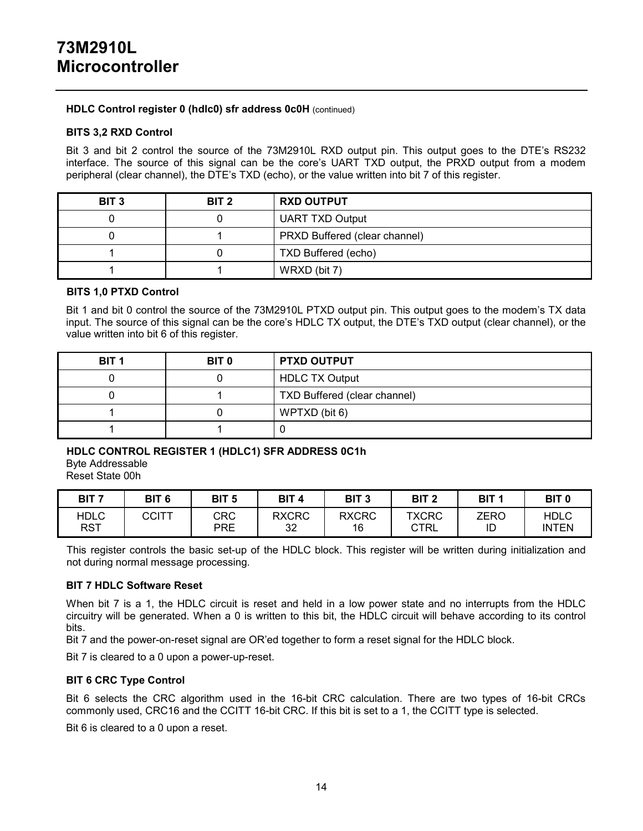#### **HDLC Control register 0 (hdlc0) sfr address 0c0H** (continued)

#### **BITS 3,2 RXD Control**

Bit 3 and bit 2 control the source of the 73M2910L RXD output pin. This output goes to the DTE's RS232 interface. The source of this signal can be the core's UART TXD output, the PRXD output from a modem peripheral (clear channel), the DTE's TXD (echo), or the value written into bit 7 of this register.

| BIT <sub>3</sub> | BIT <sub>2</sub> | <b>RXD OUTPUT</b>             |
|------------------|------------------|-------------------------------|
|                  |                  | <b>UART TXD Output</b>        |
|                  |                  | PRXD Buffered (clear channel) |
|                  |                  | TXD Buffered (echo)           |
|                  |                  | WRXD (bit 7)                  |

### **BITS 1,0 PTXD Control**

Bit 1 and bit 0 control the source of the 73M2910L PTXD output pin. This output goes to the modem's TX data input. The source of this signal can be the core's HDLC TX output, the DTE's TXD output (clear channel), or the value written into bit 6 of this register.

| BIT <sub>1</sub> | BIT <sub>0</sub> | <b>PTXD OUTPUT</b>           |
|------------------|------------------|------------------------------|
|                  |                  | <b>HDLC TX Output</b>        |
|                  |                  | TXD Buffered (clear channel) |
|                  |                  | WPTXD (bit 6)                |
|                  |                  |                              |

## **HDLC CONTROL REGISTER 1 (HDLC1) SFR ADDRESS 0C1h** Byte Addressable

Reset State 00h

| BIT <sub>7</sub> | BIT <sub>6</sub> | BIT <sub>5</sub> | BIT <sub>4</sub> | BIT <sub>3</sub> | BIT <sub>2</sub> | BIT <sub>1</sub> | BIT <sub>0</sub> |
|------------------|------------------|------------------|------------------|------------------|------------------|------------------|------------------|
| HDLC             | <b>CCITT</b>     | CRC              | <b>RXCRC</b>     | <b>RXCRC</b>     | <b>TXCRC</b>     | ZERO             | HDLC             |
| RST              |                  | <b>PRE</b>       | 32               | 16               | CTRL             | ID               | <b>INTEN</b>     |

This register controls the basic set-up of the HDLC block. This register will be written during initialization and not during normal message processing.

#### **BIT 7 HDLC Software Reset**

When bit 7 is a 1, the HDLC circuit is reset and held in a low power state and no interrupts from the HDLC circuitry will be generated. When a 0 is written to this bit, the HDLC circuit will behave according to its control bits.

Bit 7 and the power-on-reset signal are OR'ed together to form a reset signal for the HDLC block.

Bit 7 is cleared to a 0 upon a power-up-reset.

### **BIT 6 CRC Type Control**

Bit 6 selects the CRC algorithm used in the 16-bit CRC calculation. There are two types of 16-bit CRCs commonly used, CRC16 and the CCITT 16-bit CRC. If this bit is set to a 1, the CCITT type is selected.

Bit 6 is cleared to a 0 upon a reset.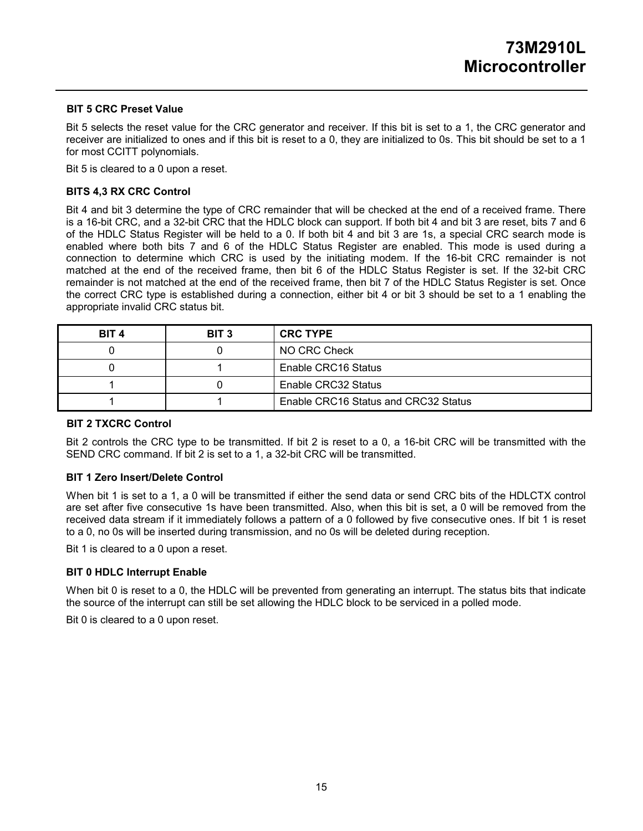#### **BIT 5 CRC Preset Value**

Bit 5 selects the reset value for the CRC generator and receiver. If this bit is set to a 1, the CRC generator and receiver are initialized to ones and if this bit is reset to a 0, they are initialized to 0s. This bit should be set to a 1 for most CCITT polynomials.

Bit 5 is cleared to a 0 upon a reset.

#### **BITS 4,3 RX CRC Control**

Bit 4 and bit 3 determine the type of CRC remainder that will be checked at the end of a received frame. There is a 16-bit CRC, and a 32-bit CRC that the HDLC block can support. If both bit 4 and bit 3 are reset, bits 7 and 6 of the HDLC Status Register will be held to a 0. If both bit 4 and bit 3 are 1s, a special CRC search mode is enabled where both bits 7 and 6 of the HDLC Status Register are enabled. This mode is used during a connection to determine which CRC is used by the initiating modem. If the 16-bit CRC remainder is not matched at the end of the received frame, then bit 6 of the HDLC Status Register is set. If the 32-bit CRC remainder is not matched at the end of the received frame, then bit 7 of the HDLC Status Register is set. Once the correct CRC type is established during a connection, either bit 4 or bit 3 should be set to a 1 enabling the appropriate invalid CRC status bit.

| BIT 4 | BIT 3 | <b>CRC TYPE</b>                      |
|-------|-------|--------------------------------------|
|       |       | NO CRC Check                         |
|       |       | Enable CRC16 Status                  |
|       |       | Enable CRC32 Status                  |
|       |       | Enable CRC16 Status and CRC32 Status |

#### **BIT 2 TXCRC Control**

Bit 2 controls the CRC type to be transmitted. If bit 2 is reset to a 0, a 16-bit CRC will be transmitted with the SEND CRC command. If bit 2 is set to a 1, a 32-bit CRC will be transmitted.

#### **BIT 1 Zero Insert/Delete Control**

When bit 1 is set to a 1, a 0 will be transmitted if either the send data or send CRC bits of the HDLCTX control are set after five consecutive 1s have been transmitted. Also, when this bit is set, a 0 will be removed from the received data stream if it immediately follows a pattern of a 0 followed by five consecutive ones. If bit 1 is reset to a 0, no 0s will be inserted during transmission, and no 0s will be deleted during reception.

Bit 1 is cleared to a 0 upon a reset.

#### **BIT 0 HDLC Interrupt Enable**

When bit 0 is reset to a 0, the HDLC will be prevented from generating an interrupt. The status bits that indicate the source of the interrupt can still be set allowing the HDLC block to be serviced in a polled mode.

Bit 0 is cleared to a 0 upon reset.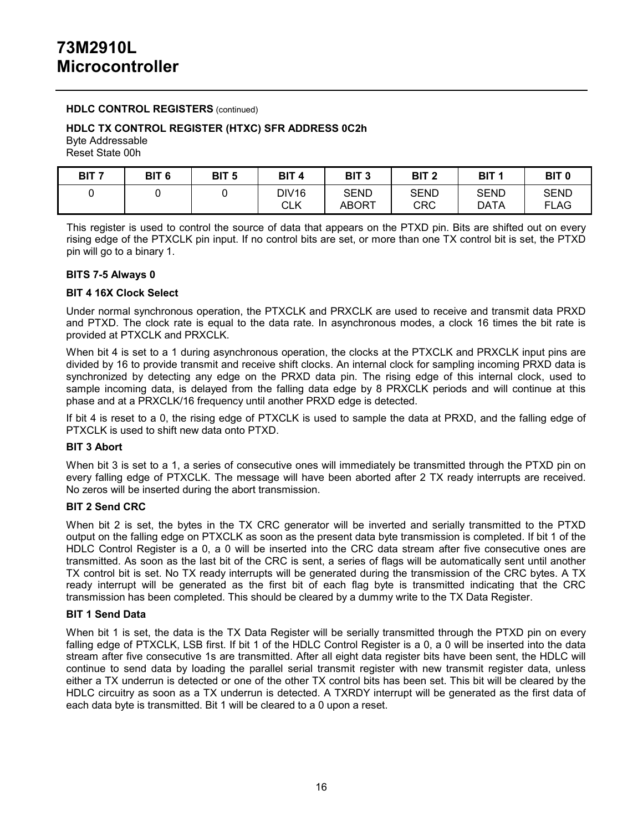#### **HDLC CONTROL REGISTERS** (continued)

#### **HDLC TX CONTROL REGISTER (HTXC) SFR ADDRESS 0C2h**

Byte Addressable Reset State 00h

| BIT 7 | BIT <sub>6</sub> | BIT <sub>5</sub> | BIT <sub>4</sub>    | BIT 3                | BIT 2              | BIT <sub>1</sub> | BIT <sub>0</sub>           |
|-------|------------------|------------------|---------------------|----------------------|--------------------|------------------|----------------------------|
|       |                  |                  | <b>DIV16</b><br>CLK | SEND<br><b>ABORT</b> | SEND<br><b>CRC</b> | SEND<br>DATA     | <b>SEND</b><br><b>FLAG</b> |

This register is used to control the source of data that appears on the PTXD pin. Bits are shifted out on every rising edge of the PTXCLK pin input. If no control bits are set, or more than one TX control bit is set, the PTXD pin will go to a binary 1.

#### **BITS 7-5 Always 0**

#### **BIT 4 16X Clock Select**

Under normal synchronous operation, the PTXCLK and PRXCLK are used to receive and transmit data PRXD and PTXD. The clock rate is equal to the data rate. In asynchronous modes, a clock 16 times the bit rate is provided at PTXCLK and PRXCLK.

When bit 4 is set to a 1 during asynchronous operation, the clocks at the PTXCLK and PRXCLK input pins are divided by 16 to provide transmit and receive shift clocks. An internal clock for sampling incoming PRXD data is synchronized by detecting any edge on the PRXD data pin. The rising edge of this internal clock, used to sample incoming data, is delayed from the falling data edge by 8 PRXCLK periods and will continue at this phase and at a PRXCLK/16 frequency until another PRXD edge is detected.

If bit 4 is reset to a 0, the rising edge of PTXCLK is used to sample the data at PRXD, and the falling edge of PTXCLK is used to shift new data onto PTXD.

#### **BIT 3 Abort**

When bit 3 is set to a 1, a series of consecutive ones will immediately be transmitted through the PTXD pin on every falling edge of PTXCLK. The message will have been aborted after 2 TX ready interrupts are received. No zeros will be inserted during the abort transmission.

#### **BIT 2 Send CRC**

When bit 2 is set, the bytes in the TX CRC generator will be inverted and serially transmitted to the PTXD output on the falling edge on PTXCLK as soon as the present data byte transmission is completed. If bit 1 of the HDLC Control Register is a 0, a 0 will be inserted into the CRC data stream after five consecutive ones are transmitted. As soon as the last bit of the CRC is sent, a series of flags will be automatically sent until another TX control bit is set. No TX ready interrupts will be generated during the transmission of the CRC bytes. A TX ready interrupt will be generated as the first bit of each flag byte is transmitted indicating that the CRC transmission has been completed. This should be cleared by a dummy write to the TX Data Register.

#### **BIT 1 Send Data**

When bit 1 is set, the data is the TX Data Register will be serially transmitted through the PTXD pin on every falling edge of PTXCLK, LSB first. If bit 1 of the HDLC Control Register is a 0, a 0 will be inserted into the data stream after five consecutive 1s are transmitted. After all eight data register bits have been sent, the HDLC will continue to send data by loading the parallel serial transmit register with new transmit register data, unless either a TX underrun is detected or one of the other TX control bits has been set. This bit will be cleared by the HDLC circuitry as soon as a TX underrun is detected. A TXRDY interrupt will be generated as the first data of each data byte is transmitted. Bit 1 will be cleared to a 0 upon a reset.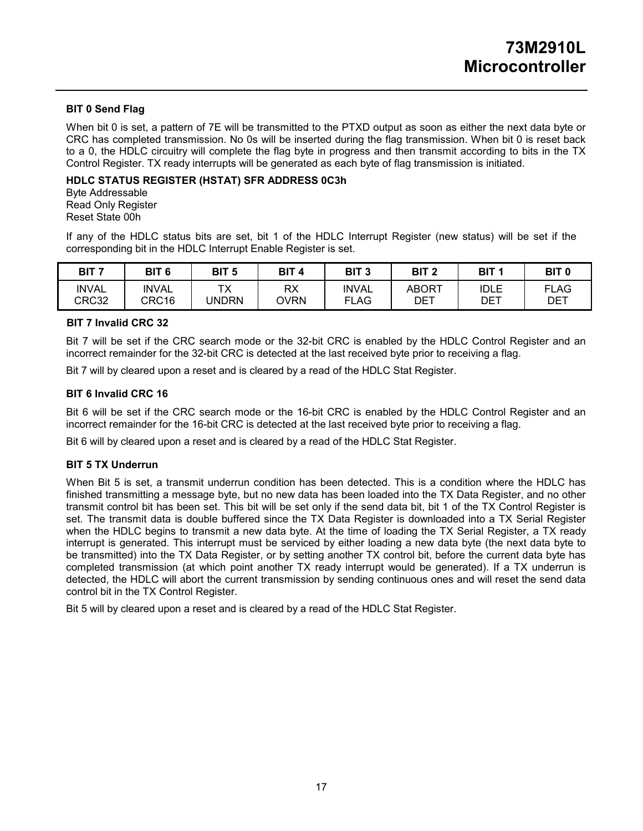#### **BIT 0 Send Flag**

When bit 0 is set, a pattern of 7E will be transmitted to the PTXD output as soon as either the next data byte or CRC has completed transmission. No 0s will be inserted during the flag transmission. When bit 0 is reset back to a 0, the HDLC circuitry will complete the flag byte in progress and then transmit according to bits in the TX Control Register. TX ready interrupts will be generated as each byte of flag transmission is initiated.

#### **HDLC STATUS REGISTER (HSTAT) SFR ADDRESS 0C3h**

Byte Addressable Read Only Register Reset State 00h

If any of the HDLC status bits are set, bit 1 of the HDLC Interrupt Register (new status) will be set if the corresponding bit in the HDLC Interrupt Enable Register is set.

| BIT <sub>7</sub>      | BIT <sub>6</sub>      | BIT 5                    | BIT <sub>4</sub>         | BIT <sub>3</sub>            | BIT <sub>2</sub> | BIT <sub>1</sub>          | BIT <sub>0</sub>          |
|-----------------------|-----------------------|--------------------------|--------------------------|-----------------------------|------------------|---------------------------|---------------------------|
| <b>INVAL</b><br>CRC32 | <b>INVAL</b><br>CRC16 | <b>T</b><br>' v<br>JNDRN | <b>RX</b><br><b>OVRN</b> | <b>INVAL</b><br><b>FLAG</b> | ABORT<br>DET     | <b>IDLE</b><br><b>DET</b> | <b>FLAG</b><br><b>DET</b> |

#### **BIT 7 Invalid CRC 32**

Bit 7 will be set if the CRC search mode or the 32-bit CRC is enabled by the HDLC Control Register and an incorrect remainder for the 32-bit CRC is detected at the last received byte prior to receiving a flag.

Bit 7 will by cleared upon a reset and is cleared by a read of the HDLC Stat Register.

#### **BIT 6 Invalid CRC 16**

Bit 6 will be set if the CRC search mode or the 16-bit CRC is enabled by the HDLC Control Register and an incorrect remainder for the 16-bit CRC is detected at the last received byte prior to receiving a flag.

Bit 6 will by cleared upon a reset and is cleared by a read of the HDLC Stat Register.

#### **BIT 5 TX Underrun**

When Bit 5 is set, a transmit underrun condition has been detected. This is a condition where the HDLC has finished transmitting a message byte, but no new data has been loaded into the TX Data Register, and no other transmit control bit has been set. This bit will be set only if the send data bit, bit 1 of the TX Control Register is set. The transmit data is double buffered since the TX Data Register is downloaded into a TX Serial Register when the HDLC begins to transmit a new data byte. At the time of loading the TX Serial Register, a TX ready interrupt is generated. This interrupt must be serviced by either loading a new data byte (the next data byte to be transmitted) into the TX Data Register, or by setting another TX control bit, before the current data byte has completed transmission (at which point another TX ready interrupt would be generated). If a TX underrun is detected, the HDLC will abort the current transmission by sending continuous ones and will reset the send data control bit in the TX Control Register.

Bit 5 will by cleared upon a reset and is cleared by a read of the HDLC Stat Register.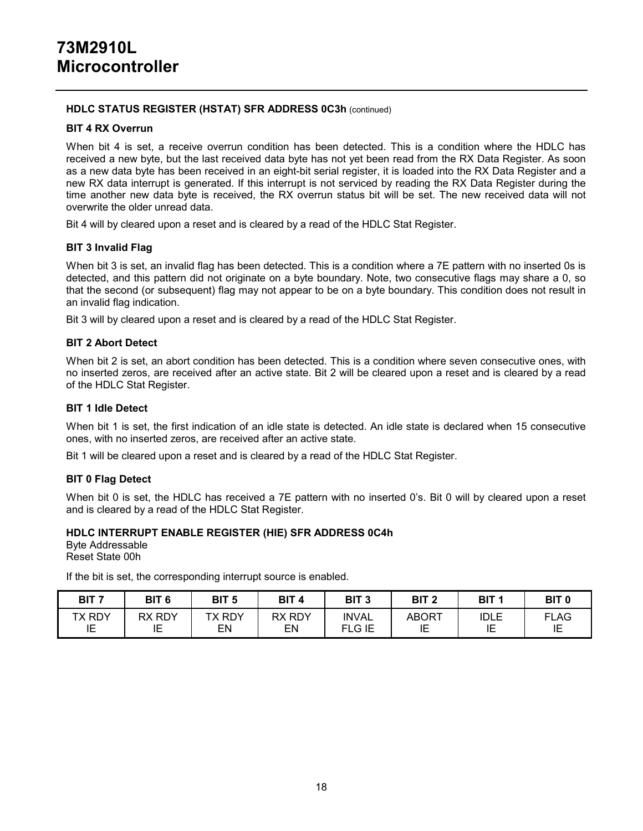#### **HDLC STATUS REGISTER (HSTAT) SFR ADDRESS 0C3h** (continued)

#### **BIT 4 RX Overrun**

When bit 4 is set, a receive overrun condition has been detected. This is a condition where the HDLC has received a new byte, but the last received data byte has not yet been read from the RX Data Register. As soon as a new data byte has been received in an eight-bit serial register, it is loaded into the RX Data Register and a new RX data interrupt is generated. If this interrupt is not serviced by reading the RX Data Register during the time another new data byte is received, the RX overrun status bit will be set. The new received data will not overwrite the older unread data.

Bit 4 will by cleared upon a reset and is cleared by a read of the HDLC Stat Register.

#### **BIT 3 Invalid Flag**

When bit 3 is set, an invalid flag has been detected. This is a condition where a 7E pattern with no inserted 0s is detected, and this pattern did not originate on a byte boundary. Note, two consecutive flags may share a 0, so that the second (or subsequent) flag may not appear to be on a byte boundary. This condition does not result in an invalid flag indication.

Bit 3 will by cleared upon a reset and is cleared by a read of the HDLC Stat Register.

#### **BIT 2 Abort Detect**

When bit 2 is set, an abort condition has been detected. This is a condition where seven consecutive ones, with no inserted zeros, are received after an active state. Bit 2 will be cleared upon a reset and is cleared by a read of the HDLC Stat Register.

#### **BIT 1 Idle Detect**

When bit 1 is set, the first indication of an idle state is detected. An idle state is declared when 15 consecutive ones, with no inserted zeros, are received after an active state.

Bit 1 will be cleared upon a reset and is cleared by a read of the HDLC Stat Register.

#### **BIT 0 Flag Detect**

When bit 0 is set, the HDLC has received a 7E pattern with no inserted 0's. Bit 0 will by cleared upon a reset and is cleared by a read of the HDLC Stat Register.

#### **HDLC INTERRUPT ENABLE REGISTER (HIE) SFR ADDRESS 0C4h**

Byte Addressable Reset State 00h

If the bit is set, the corresponding interrupt source is enabled.

| BIT 7        | BIT <sub>6</sub> | BIT <sub>5</sub>       | <b>BIT</b>          | BIT <sub>3</sub>              | BIT <sub>2</sub> | BIT <sub>1</sub>              | BIT <sub>0</sub>  |
|--------------|------------------|------------------------|---------------------|-------------------------------|------------------|-------------------------------|-------------------|
| TX RDY<br>IE | RDY<br>RX<br>ΙE  | <b>RDY</b><br>᠇ᢦ<br>EN | <b>RX RDY</b><br>EN | <b>INVAL</b><br><b>FLG IE</b> | ABORT<br>ı⊏<br>⊔ | <b>IDLE</b><br>ım<br>╺<br>. . | <b>FLAG</b><br>IE |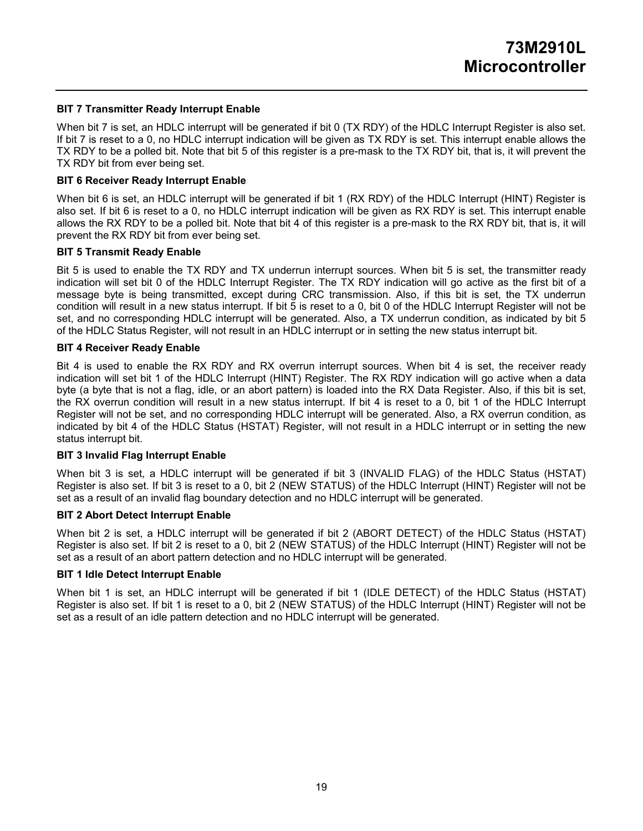#### **BIT 7 Transmitter Ready Interrupt Enable**

When bit 7 is set, an HDLC interrupt will be generated if bit 0 (TX RDY) of the HDLC Interrupt Register is also set. If bit 7 is reset to a 0, no HDLC interrupt indication will be given as TX RDY is set. This interrupt enable allows the TX RDY to be a polled bit. Note that bit 5 of this register is a pre-mask to the TX RDY bit, that is, it will prevent the TX RDY bit from ever being set.

#### **BIT 6 Receiver Ready Interrupt Enable**

When bit 6 is set, an HDLC interrupt will be generated if bit 1 (RX RDY) of the HDLC Interrupt (HINT) Register is also set. If bit 6 is reset to a 0, no HDLC interrupt indication will be given as RX RDY is set. This interrupt enable allows the RX RDY to be a polled bit. Note that bit 4 of this register is a pre-mask to the RX RDY bit, that is, it will prevent the RX RDY bit from ever being set.

#### **BIT 5 Transmit Ready Enable**

Bit 5 is used to enable the TX RDY and TX underrun interrupt sources. When bit 5 is set, the transmitter ready indication will set bit 0 of the HDLC Interrupt Register. The TX RDY indication will go active as the first bit of a message byte is being transmitted, except during CRC transmission. Also, if this bit is set, the TX underrun condition will result in a new status interrupt. If bit 5 is reset to a 0, bit 0 of the HDLC Interrupt Register will not be set, and no corresponding HDLC interrupt will be generated. Also, a TX underrun condition, as indicated by bit 5 of the HDLC Status Register, will not result in an HDLC interrupt or in setting the new status interrupt bit.

#### **BIT 4 Receiver Ready Enable**

Bit 4 is used to enable the RX RDY and RX overrun interrupt sources. When bit 4 is set, the receiver ready indication will set bit 1 of the HDLC Interrupt (HINT) Register. The RX RDY indication will go active when a data byte (a byte that is not a flag, idle, or an abort pattern) is loaded into the RX Data Register. Also, if this bit is set, the RX overrun condition will result in a new status interrupt. If bit 4 is reset to a 0, bit 1 of the HDLC Interrupt Register will not be set, and no corresponding HDLC interrupt will be generated. Also, a RX overrun condition, as indicated by bit 4 of the HDLC Status (HSTAT) Register, will not result in a HDLC interrupt or in setting the new status interrupt bit.

#### **BIT 3 Invalid Flag Interrupt Enable**

When bit 3 is set, a HDLC interrupt will be generated if bit 3 (INVALID FLAG) of the HDLC Status (HSTAT) Register is also set. If bit 3 is reset to a 0, bit 2 (NEW STATUS) of the HDLC Interrupt (HINT) Register will not be set as a result of an invalid flag boundary detection and no HDLC interrupt will be generated.

#### **BIT 2 Abort Detect Interrupt Enable**

When bit 2 is set, a HDLC interrupt will be generated if bit 2 (ABORT DETECT) of the HDLC Status (HSTAT) Register is also set. If bit 2 is reset to a 0, bit 2 (NEW STATUS) of the HDLC Interrupt (HINT) Register will not be set as a result of an abort pattern detection and no HDLC interrupt will be generated.

### **BIT 1 Idle Detect Interrupt Enable**

When bit 1 is set, an HDLC interrupt will be generated if bit 1 (IDLE DETECT) of the HDLC Status (HSTAT) Register is also set. If bit 1 is reset to a 0, bit 2 (NEW STATUS) of the HDLC Interrupt (HINT) Register will not be set as a result of an idle pattern detection and no HDLC interrupt will be generated.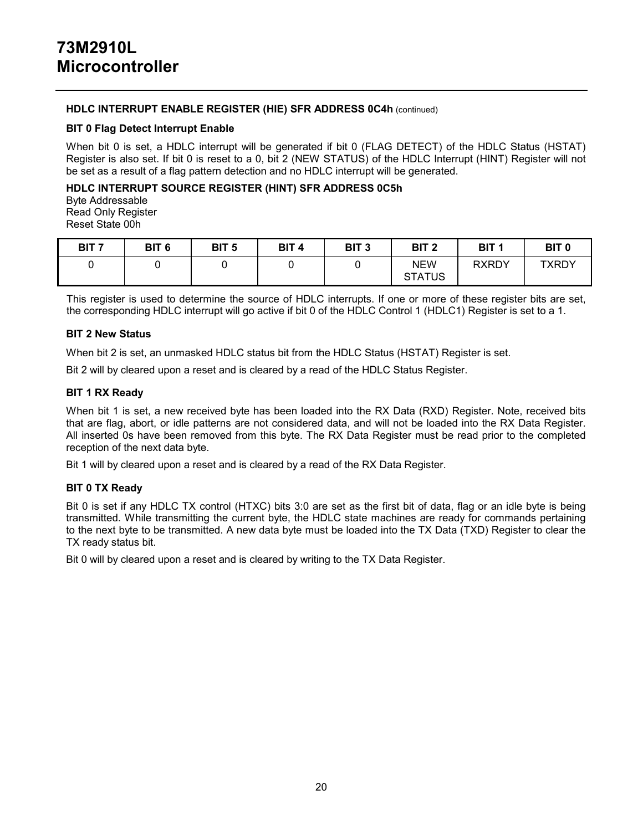#### **HDLC INTERRUPT ENABLE REGISTER (HIE) SFR ADDRESS 0C4h** (continued)

#### **BIT 0 Flag Detect Interrupt Enable**

When bit 0 is set, a HDLC interrupt will be generated if bit 0 (FLAG DETECT) of the HDLC Status (HSTAT) Register is also set. If bit 0 is reset to a 0, bit 2 (NEW STATUS) of the HDLC Interrupt (HINT) Register will not be set as a result of a flag pattern detection and no HDLC interrupt will be generated.

#### **HDLC INTERRUPT SOURCE REGISTER (HINT) SFR ADDRESS 0C5h**

Byte Addressable Read Only Register Reset State 00h

| BIT <sub>7</sub> | BIT <sub>6</sub> | BIT <sub>5</sub> | BIT <sub>4</sub> | BIT <sub>3</sub> | BIT <sub>2</sub>            | BIT <sub>1</sub> | <b>BIT 0</b> |
|------------------|------------------|------------------|------------------|------------------|-----------------------------|------------------|--------------|
|                  |                  |                  |                  |                  | <b>NEW</b><br><b>STATUS</b> | <b>RXRDY</b>     | <b>TXRDY</b> |

This register is used to determine the source of HDLC interrupts. If one or more of these register bits are set, the corresponding HDLC interrupt will go active if bit 0 of the HDLC Control 1 (HDLC1) Register is set to a 1.

#### **BIT 2 New Status**

When bit 2 is set, an unmasked HDLC status bit from the HDLC Status (HSTAT) Register is set.

Bit 2 will by cleared upon a reset and is cleared by a read of the HDLC Status Register.

#### **BIT 1 RX Ready**

When bit 1 is set, a new received byte has been loaded into the RX Data (RXD) Register. Note, received bits that are flag, abort, or idle patterns are not considered data, and will not be loaded into the RX Data Register. All inserted 0s have been removed from this byte. The RX Data Register must be read prior to the completed reception of the next data byte.

Bit 1 will by cleared upon a reset and is cleared by a read of the RX Data Register.

### **BIT 0 TX Ready**

Bit 0 is set if any HDLC TX control (HTXC) bits 3:0 are set as the first bit of data, flag or an idle byte is being transmitted. While transmitting the current byte, the HDLC state machines are ready for commands pertaining to the next byte to be transmitted. A new data byte must be loaded into the TX Data (TXD) Register to clear the TX ready status bit.

Bit 0 will by cleared upon a reset and is cleared by writing to the TX Data Register.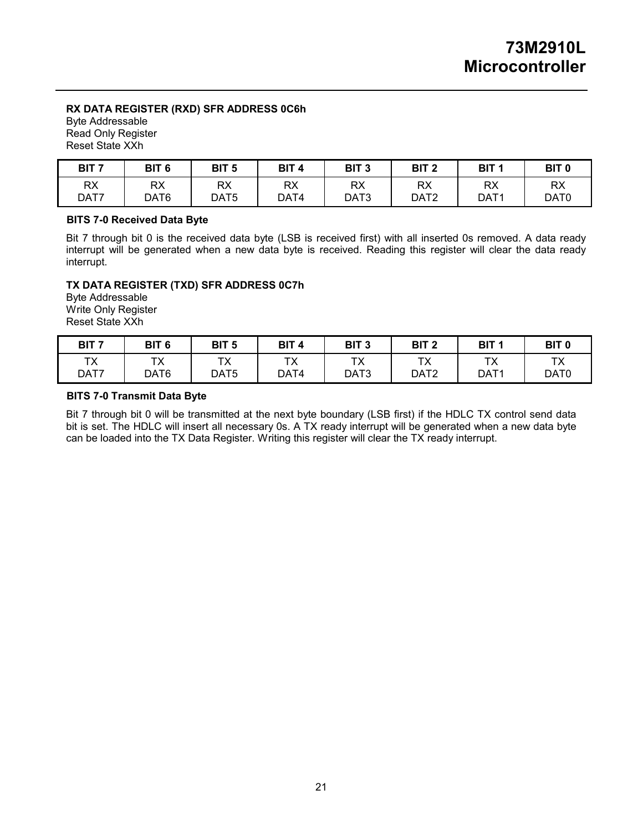# **RX DATA REGISTER (RXD) SFR ADDRESS 0C6h**

Byte Addressable Read Only Register Reset State XXh

| RX<br>RX<br>RX<br>RX<br><b>RX</b><br><b>RX</b><br>DAT7<br>DAT6<br>DAT <sub>5</sub><br>DAT4<br>DAT3 | <b>RX</b><br>DAT <sub>2</sub><br>DAT1 | RX<br>DAT0 |
|----------------------------------------------------------------------------------------------------|---------------------------------------|------------|

## **BITS 7-0 Received Data Byte**

Bit 7 through bit 0 is the received data byte (LSB is received first) with all inserted 0s removed. A data ready interrupt will be generated when a new data byte is received. Reading this register will clear the data ready interrupt.

## **TX DATA REGISTER (TXD) SFR ADDRESS 0C7h**

Byte Addressable Write Only Register Reset State XXh

| BIT 7      | BIT <sub>6</sub> | BIT <sub>5</sub>         | BIT <sub>4</sub> | BIT <sub>3</sub> | BIT <sub>2</sub>                                             | BIT <sub>1</sub>                      | BIT <sub>0</sub> |
|------------|------------------|--------------------------|------------------|------------------|--------------------------------------------------------------|---------------------------------------|------------------|
| ТX<br>DAT7 | ᠇៴<br>≀∧<br>DAT6 | ┯.<br>$\sqrt{ }$<br>DAT5 | тv<br>ᡰᄉ<br>DAT4 | ТX<br>DAT3       | $\mathbf{v}$<br>$\overline{\phantom{a}}$<br>DAT <sub>2</sub> | $\mathbf{v}$<br>≀<br>DAT <sub>1</sub> | TX<br>DAT0       |

### **BITS 7-0 Transmit Data Byte**

Bit 7 through bit 0 will be transmitted at the next byte boundary (LSB first) if the HDLC TX control send data bit is set. The HDLC will insert all necessary 0s. A TX ready interrupt will be generated when a new data byte can be loaded into the TX Data Register. Writing this register will clear the TX ready interrupt.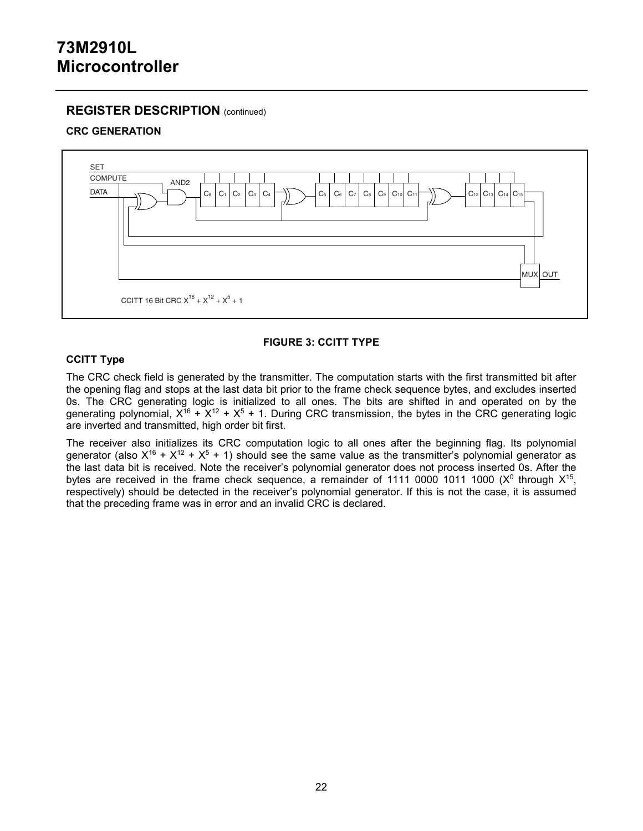## **REGISTER DESCRIPTION** (continued)

## **CRC GENERATION**



## **FIGURE 3: CCITT TYPE**

## **CCITT Type**

The CRC check field is generated by the transmitter. The computation starts with the first transmitted bit after the opening flag and stops at the last data bit prior to the frame check sequence bytes, and excludes inserted 0s. The CRC generating logic is initialized to all ones. The bits are shifted in and operated on by the generating polynomial,  $X^{16} + X^{12} + X^5 + 1$ . During CRC transmission, the bytes in the CRC generating logic are inverted and transmitted, high order bit first.

The receiver also initializes its CRC computation logic to all ones after the beginning flag. Its polynomial generator (also  $X^{16} + X^{12} + X^5 + 1$ ) should see the same value as the transmitter's polynomial generator as the last data bit is received. Note the receiver's polynomial generator does not process inserted 0s. After the bytes are received in the frame check sequence, a remainder of 1111 0000 1011 1000 ( $X^0$  through  $X^{15}$ , respectively) should be detected in the receiver's polynomial generator. If this is not the case, it is assumed that the preceding frame was in error and an invalid CRC is declared.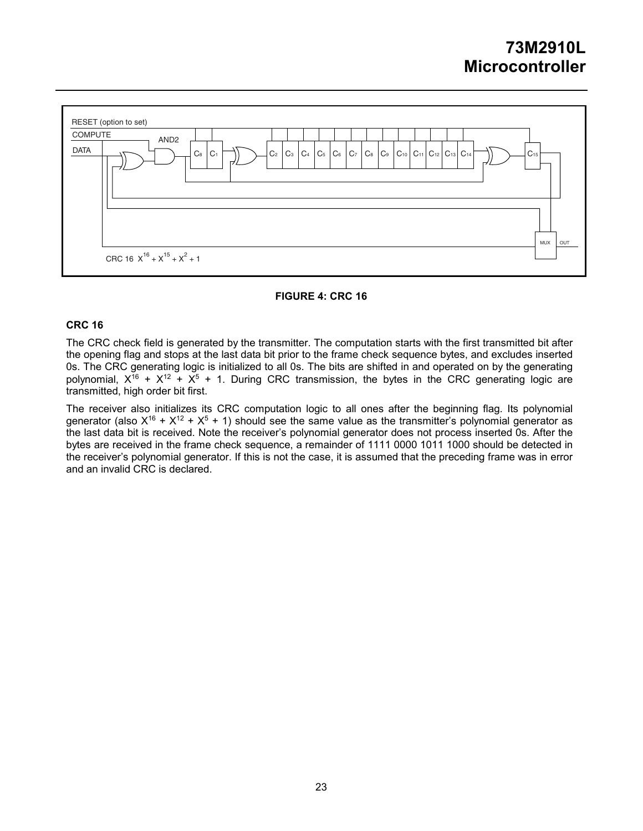

#### **FIGURE 4: CRC 16**

#### **CRC 16**

The CRC check field is generated by the transmitter. The computation starts with the first transmitted bit after the opening flag and stops at the last data bit prior to the frame check sequence bytes, and excludes inserted 0s. The CRC generating logic is initialized to all 0s. The bits are shifted in and operated on by the generating polynomial,  $X^{16} + X^{12} + X^{5} + 1$ . During CRC transmission, the bytes in the CRC generating logic are transmitted, high order bit first.

The receiver also initializes its CRC computation logic to all ones after the beginning flag. Its polynomial generator (also  $X^{16} + X^{12} + X^5 + 1$ ) should see the same value as the transmitter's polynomial generator as the last data bit is received. Note the receiver's polynomial generator does not process inserted 0s. After the bytes are received in the frame check sequence, a remainder of 1111 0000 1011 1000 should be detected in the receiver's polynomial generator. If this is not the case, it is assumed that the preceding frame was in error and an invalid CRC is declared.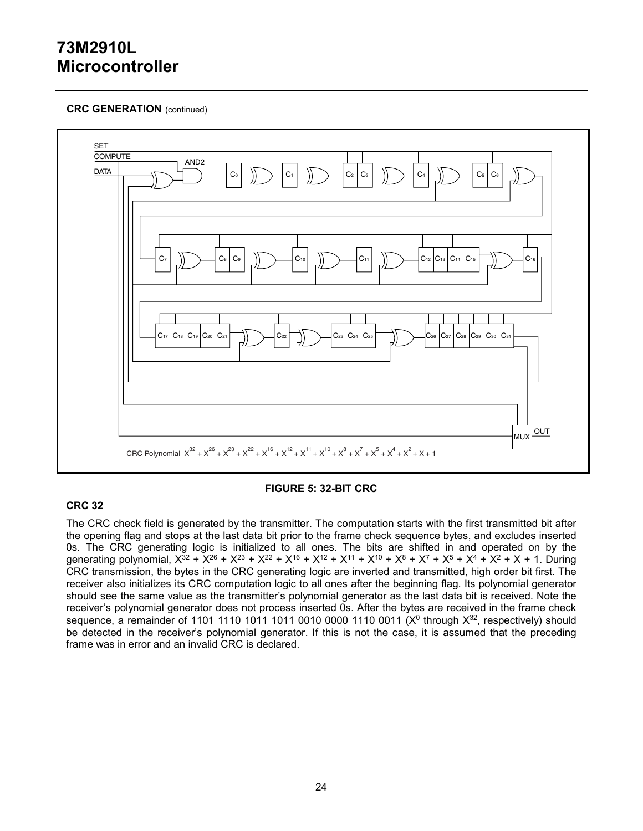### **CRC GENERATION** (continued)



### **CRC 32**

#### **FIGURE 5: 32-BIT CRC**

The CRC check field is generated by the transmitter. The computation starts with the first transmitted bit after the opening flag and stops at the last data bit prior to the frame check sequence bytes, and excludes inserted 0s. The CRC generating logic is initialized to all ones. The bits are shifted in and operated on by the generating polynomial,  $X^{32} + X^{26} + X^{23} + X^{22} + X^{16} + X^{12} + X^{11} + X^{10} + X^8 + X^7 + X^5 + X^4 + X^2 + X + 1$ . During CRC transmission, the bytes in the CRC generating logic are inverted and transmitted, high order bit first. The receiver also initializes its CRC computation logic to all ones after the beginning flag. Its polynomial generator should see the same value as the transmitter's polynomial generator as the last data bit is received. Note the receiver's polynomial generator does not process inserted 0s. After the bytes are received in the frame check sequence, a remainder of 1101 1110 1011 1011 0010 0000 1110 0011 ( $X<sup>0</sup>$  through  $X<sup>32</sup>$ , respectively) should be detected in the receiver's polynomial generator. If this is not the case, it is assumed that the preceding frame was in error and an invalid CRC is declared.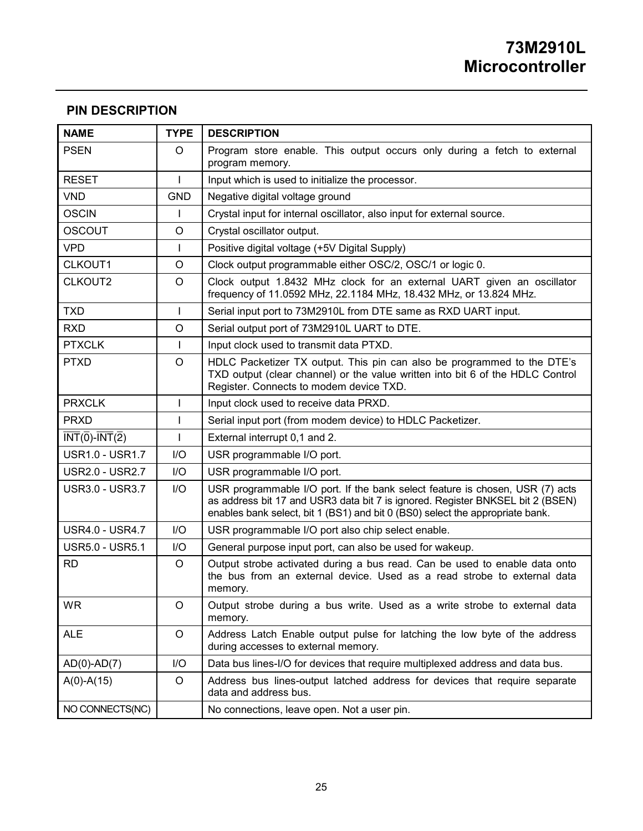## **PIN DESCRIPTION**

| <b>NAME</b>                                                                   | <b>TYPE</b>             | <b>DESCRIPTION</b>                                                                                                                                                                                                                               |
|-------------------------------------------------------------------------------|-------------------------|--------------------------------------------------------------------------------------------------------------------------------------------------------------------------------------------------------------------------------------------------|
| <b>PSEN</b>                                                                   | $\circ$                 | Program store enable. This output occurs only during a fetch to external<br>program memory.                                                                                                                                                      |
| <b>RESET</b>                                                                  | $\overline{1}$          | Input which is used to initialize the processor.                                                                                                                                                                                                 |
| <b>VND</b>                                                                    | <b>GND</b>              | Negative digital voltage ground                                                                                                                                                                                                                  |
| <b>OSCIN</b>                                                                  | T                       | Crystal input for internal oscillator, also input for external source.                                                                                                                                                                           |
| <b>OSCOUT</b>                                                                 | O                       | Crystal oscillator output.                                                                                                                                                                                                                       |
| <b>VPD</b>                                                                    | $\mathbf{I}$            | Positive digital voltage (+5V Digital Supply)                                                                                                                                                                                                    |
| CLKOUT1                                                                       | $\circ$                 | Clock output programmable either OSC/2, OSC/1 or logic 0.                                                                                                                                                                                        |
| CLKOUT2                                                                       | O                       | Clock output 1.8432 MHz clock for an external UART given an oscillator<br>frequency of 11.0592 MHz, 22.1184 MHz, 18.432 MHz, or 13.824 MHz.                                                                                                      |
| <b>TXD</b>                                                                    | T                       | Serial input port to 73M2910L from DTE same as RXD UART input.                                                                                                                                                                                   |
| <b>RXD</b>                                                                    | $\circ$                 | Serial output port of 73M2910L UART to DTE.                                                                                                                                                                                                      |
| <b>PTXCLK</b>                                                                 | $\mathbf{I}$            | Input clock used to transmit data PTXD.                                                                                                                                                                                                          |
| <b>PTXD</b>                                                                   | O                       | HDLC Packetizer TX output. This pin can also be programmed to the DTE's<br>TXD output (clear channel) or the value written into bit 6 of the HDLC Control<br>Register. Connects to modem device TXD.                                             |
| <b>PRXCLK</b>                                                                 | T                       | Input clock used to receive data PRXD.                                                                                                                                                                                                           |
| <b>PRXD</b>                                                                   | $\mathbf{I}$            | Serial input port (from modem device) to HDLC Packetizer.                                                                                                                                                                                        |
| $\overline{\text{INT}}(\overline{0})$ - $\overline{\text{INT}}(\overline{2})$ | $\overline{1}$          | External interrupt 0,1 and 2.                                                                                                                                                                                                                    |
| <b>USR1.0 - USR1.7</b>                                                        | $\mathsf{I}/\mathsf{O}$ | USR programmable I/O port.                                                                                                                                                                                                                       |
| <b>USR2.0 - USR2.7</b>                                                        | $\mathsf{I}/\mathsf{O}$ | USR programmable I/O port.                                                                                                                                                                                                                       |
| <b>USR3.0 - USR3.7</b>                                                        | $\mathsf{I}/\mathsf{O}$ | USR programmable I/O port. If the bank select feature is chosen, USR (7) acts<br>as address bit 17 and USR3 data bit 7 is ignored. Register BNKSEL bit 2 (BSEN)<br>enables bank select, bit 1 (BS1) and bit 0 (BS0) select the appropriate bank. |
| <b>USR4.0 - USR4.7</b>                                                        | I/O                     | USR programmable I/O port also chip select enable.                                                                                                                                                                                               |
| <b>USR5.0 - USR5.1</b>                                                        | 1/O                     | General purpose input port, can also be used for wakeup.                                                                                                                                                                                         |
| <b>RD</b>                                                                     | $\circ$                 | Output strobe activated during a bus read. Can be used to enable data onto<br>the bus from an external device. Used as a read strobe to external data<br>memory.                                                                                 |
| <b>WR</b>                                                                     | O                       | Output strobe during a bus write. Used as a write strobe to external data<br>memory.                                                                                                                                                             |
| <b>ALE</b>                                                                    | O                       | Address Latch Enable output pulse for latching the low byte of the address<br>during accesses to external memory.                                                                                                                                |
| $AD(0)-AD(7)$                                                                 | 1/O                     | Data bus lines-I/O for devices that require multiplexed address and data bus.                                                                                                                                                                    |
| $A(0)-A(15)$                                                                  | O                       | Address bus lines-output latched address for devices that require separate<br>data and address bus.                                                                                                                                              |
| NO CONNECTS(NC)                                                               |                         | No connections, leave open. Not a user pin.                                                                                                                                                                                                      |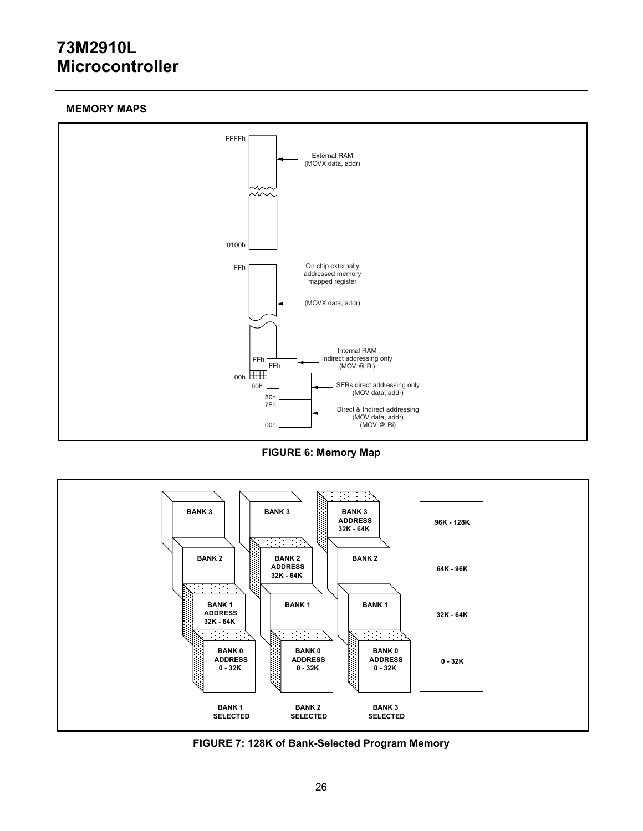### **MEMORY MAPS**



**FIGURE 6: Memory Map** 



**FIGURE 7: 128K of Bank-Selected Program Memory**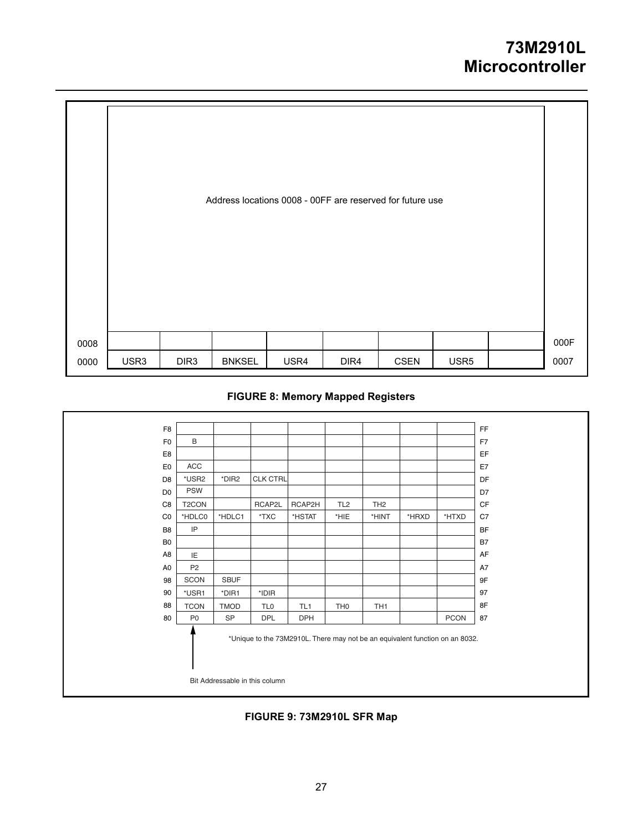|              |      |                  |               | Address locations 0008 - 00FF are reserved for future use |                  |             |                  |              |
|--------------|------|------------------|---------------|-----------------------------------------------------------|------------------|-------------|------------------|--------------|
| 0008<br>0000 | USR3 | DIR <sub>3</sub> | <b>BNKSEL</b> | USR4                                                      | DIR <sub>4</sub> | <b>CSEN</b> | USR <sub>5</sub> | 000F<br>0007 |

## **FIGURE 8: Memory Mapped Registers**

| F <sub>8</sub> |                    |             |                                                                              |                 |                 |                 |       |             | <b>FF</b> |
|----------------|--------------------|-------------|------------------------------------------------------------------------------|-----------------|-----------------|-----------------|-------|-------------|-----------|
| F <sub>0</sub> | B                  |             |                                                                              |                 |                 |                 |       |             | F7        |
| E8             |                    |             |                                                                              |                 |                 |                 |       |             | EF        |
| E <sub>0</sub> | ACC                |             |                                                                              |                 |                 |                 |       |             | E7        |
| D <sub>8</sub> | *USR2              | *DIR2       | CLK CTRL                                                                     |                 |                 |                 |       |             | DF        |
| D <sub>0</sub> | <b>PSW</b>         |             |                                                                              |                 |                 |                 |       |             | D7        |
| C <sub>8</sub> | T <sub>2</sub> CON |             | RCAP2L                                                                       | RCAP2H          | TL <sub>2</sub> | TH <sub>2</sub> |       |             | CF        |
| $_{\rm CO}$    | *HDLC0             | *HDLC1      | $*TXC$                                                                       | *HSTAT          | *HIE            | *HINT           | *HRXD | *HTXD       | C7        |
| B <sub>8</sub> | IP                 |             |                                                                              |                 |                 |                 |       |             | BF        |
| B <sub>0</sub> |                    |             |                                                                              |                 |                 |                 |       |             | <b>B7</b> |
| A <sub>8</sub> | IE                 |             |                                                                              |                 |                 |                 |       |             | AF        |
| A <sub>0</sub> | P <sub>2</sub>     |             |                                                                              |                 |                 |                 |       |             | A7        |
| 98             | SCON               | <b>SBUF</b> |                                                                              |                 |                 |                 |       |             | 9F        |
| 90             | *USR1              | *DIR1       | *IDIR                                                                        |                 |                 |                 |       |             | 97        |
| 88             | <b>TCON</b>        | <b>TMOD</b> | TL <sub>0</sub>                                                              | TL <sub>1</sub> | TH <sub>0</sub> | TH <sub>1</sub> |       |             | 8F        |
| 80             | P <sub>0</sub>     | <b>SP</b>   | <b>DPL</b>                                                                   | <b>DPH</b>      |                 |                 |       | <b>PCON</b> | 87        |
|                |                    |             | *Unique to the 73M2910L. There may not be an equivalent function on an 8032. |                 |                 |                 |       |             |           |
|                |                    |             | Bit Addressable in this column                                               |                 |                 |                 |       |             |           |

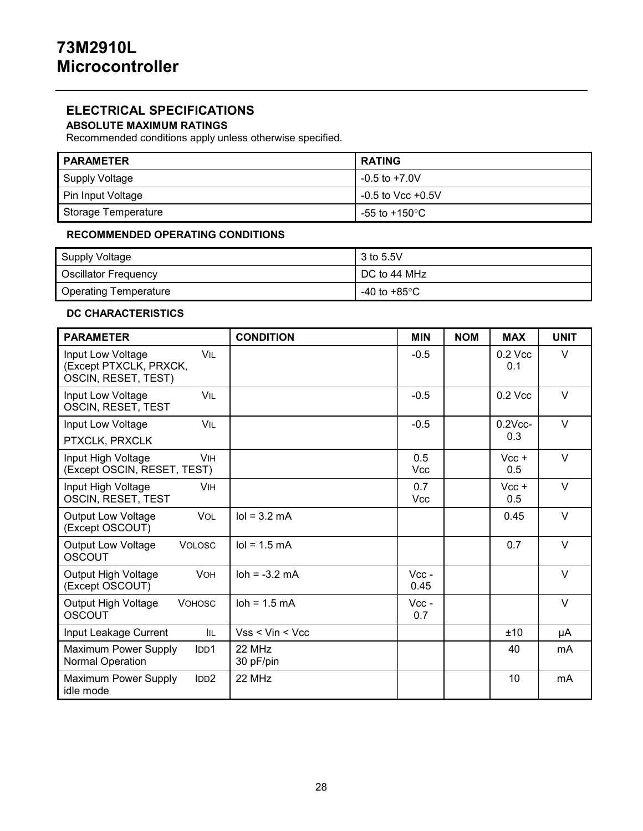## **ELECTRICAL SPECIFICATIONS**

## **ABSOLUTE MAXIMUM RATINGS**

Recommended conditions apply unless otherwise specified.

| <b>PARAMETER</b>    | <b>RATING</b>         |
|---------------------|-----------------------|
| Supply Voltage      | -0.5 to +7.0V         |
| Pin Input Voltage   | $-0.5$ to Vcc $+0.5V$ |
| Storage Temperature | -55 to +150°C         |

#### **RECOMMENDED OPERATING CONDITIONS**

| Supply Voltage               | 3 to 5.5V     |
|------------------------------|---------------|
| <b>Oscillator Frequency</b>  | DC to 44 MHz  |
| <b>Operating Temperature</b> | -40 to +85°C. |

## **DC CHARACTERISTICS**

| <b>PARAMETER</b>                                                          | <b>CONDITION</b>              | <b>MIN</b>        | <b>NOM</b> | <b>MAX</b>       | <b>UNIT</b> |
|---------------------------------------------------------------------------|-------------------------------|-------------------|------------|------------------|-------------|
| Input Low Voltage<br>VIL<br>(Except PTXCLK, PRXCK,<br>OSCIN, RESET, TEST) |                               | $-0.5$            |            | $0.2$ Vcc<br>0.1 | V           |
| VII<br>Input Low Voltage<br>OSCIN, RESET, TEST                            |                               | $-0.5$            |            | $0.2$ Vcc        | $\vee$      |
| VIL<br>Input Low Voltage                                                  |                               | $-0.5$            |            | $0.2$ Vcc-       | $\vee$      |
| PTXCLK, PRXCLK                                                            |                               |                   |            | 0.3              |             |
| Input High Voltage<br><b>VIH</b><br>(Except OSCIN, RESET, TEST)           |                               | 0.5<br><b>Vcc</b> |            | $Vcc +$<br>0.5   | $\vee$      |
| Input High Voltage<br><b>VIH</b><br>OSCIN, RESET, TEST                    |                               | 0.7<br><b>Vcc</b> |            | $Vcc +$<br>0.5   | $\vee$      |
| <b>VOL</b><br><b>Output Low Voltage</b><br>(Except OSCOUT)                | $IoI = 3.2 mA$                |                   |            | 0.45             | $\vee$      |
| <b>Output Low Voltage</b><br><b>VOLOSC</b><br><b>OSCOUT</b>               | $IoI = 1.5 mA$                |                   |            | 0.7              | V           |
| Output High Voltage<br><b>VOH</b><br>(Except OSCOUT)                      | $\lambda = -3.2 \, \text{mA}$ | $Vcc -$<br>0.45   |            |                  | $\vee$      |
| Output High Voltage<br><b>VOHOSC</b><br><b>OSCOUT</b>                     | $\lambda$ loh = 1.5 mA        | $Vcc -$<br>0.7    |            |                  | $\vee$      |
| Input Leakage Current<br>IIL                                              | $Vss <$ Vin $<$ Vcc           |                   |            | ±10              | μA          |
| Maximum Power Supply<br>IDD1<br>Normal Operation                          | 22 MHz<br>30 pF/pin           |                   |            | 40               | mA          |
| Maximum Power Supply<br>IDD2<br>idle mode                                 | 22 MHz                        |                   |            | 10               | mA          |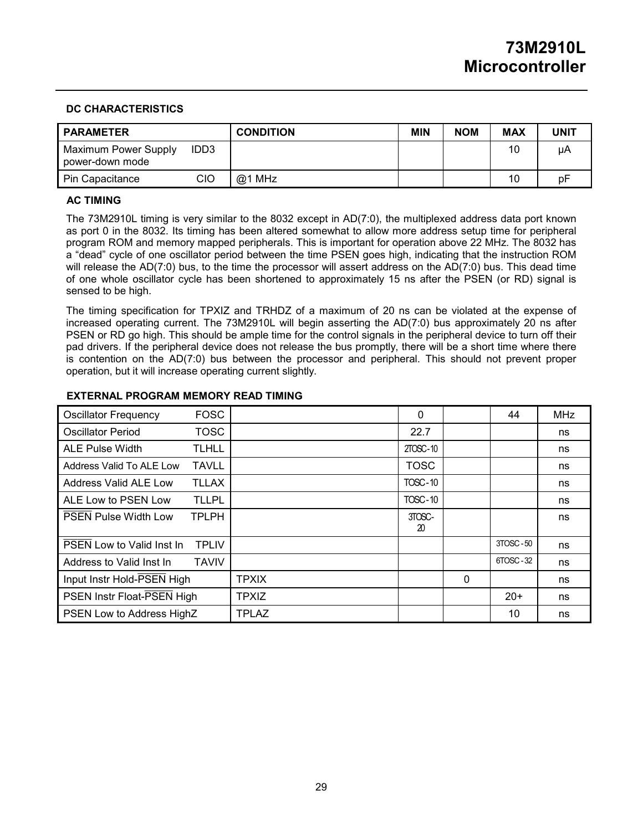#### **DC CHARACTERISTICS**

| <b>PARAMETER</b>                        |      | <b>CONDITION</b> | <b>MIN</b> | <b>NOM</b> | <b>MAX</b> | UNIT |
|-----------------------------------------|------|------------------|------------|------------|------------|------|
| Maximum Power Supply<br>power-down mode | IDD3 |                  |            |            | 10         | μA   |
| Pin Capacitance                         | CIO  | $@1$ MHz         |            |            | 10         | рF   |

### **AC TIMING**

The 73M2910L timing is very similar to the 8032 except in AD(7:0), the multiplexed address data port known as port 0 in the 8032. Its timing has been altered somewhat to allow more address setup time for peripheral program ROM and memory mapped peripherals. This is important for operation above 22 MHz. The 8032 has a "dead" cycle of one oscillator period between the time PSEN goes high, indicating that the instruction ROM will release the AD(7:0) bus, to the time the processor will assert address on the AD(7:0) bus. This dead time of one whole oscillator cycle has been shortened to approximately 15 ns after the PSEN (or RD) signal is sensed to be high.

The timing specification for TPXIZ and TRHDZ of a maximum of 20 ns can be violated at the expense of increased operating current. The 73M2910L will begin asserting the AD(7:0) bus approximately 20 ns after PSEN or RD go high. This should be ample time for the control signals in the peripheral device to turn off their pad drivers. If the peripheral device does not release the bus promptly, there will be a short time where there is contention on the AD(7:0) bus between the processor and peripheral. This should not prevent proper operation, but it will increase operating current slightly.

#### **EXTERNAL PROGRAM MEMORY READ TIMING**

| <b>Oscillator Frequency</b>      | <b>FOSC</b>  |              | 0              |   | 44       | <b>MHz</b> |
|----------------------------------|--------------|--------------|----------------|---|----------|------------|
| <b>Oscillator Period</b>         | TOSC         |              | 22.7           |   |          | ns         |
| <b>ALE Pulse Width</b>           | <b>TLHLL</b> |              | 2TOSC-10       |   |          | ns         |
| Address Valid To ALE Low         | <b>TAVLL</b> |              | <b>TOSC</b>    |   |          | ns         |
| Address Valid ALE Low            | TLLAX        |              | <b>TOSC-10</b> |   |          | ns         |
| ALE Low to PSEN Low              | <b>TLLPL</b> |              | <b>TOSC-10</b> |   |          | ns         |
| <b>PSEN Pulse Width Low</b>      | <b>TPLPH</b> |              | 3TOSC-<br>20   |   |          | ns         |
| <b>PSEN</b> Low to Valid Inst In | <b>TPLIV</b> |              |                |   | 3TOSC-50 | ns         |
| Address to Valid Inst In         | <b>TAVIV</b> |              |                |   | 6TOSC-32 | ns         |
| Input Instr Hold-PSEN High       |              | <b>TPXIX</b> |                | 0 |          | ns         |
| PSEN Instr Float-PSEN High       |              | <b>TPXIZ</b> |                |   | $20+$    | ns         |
| PSEN Low to Address HighZ        |              | <b>TPLAZ</b> |                |   | 10       | ns         |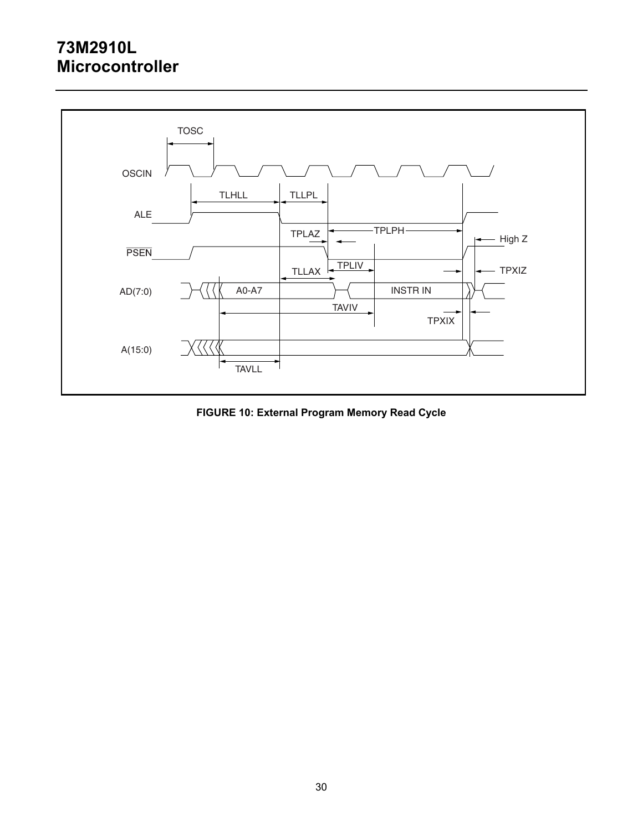

**FIGURE 10: External Program Memory Read Cycle**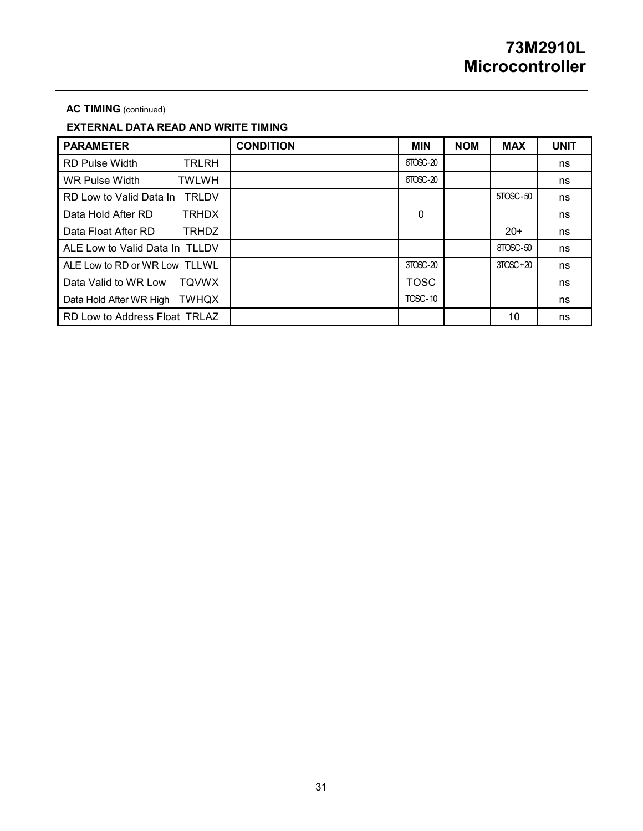#### **AC TIMING** (continued)

## **EXTERNAL DATA READ AND WRITE TIMING**

| <b>PARAMETER</b>                      | <b>CONDITION</b> | <b>MIN</b>     | <b>NOM</b> | <b>MAX</b> | <b>UNIT</b> |
|---------------------------------------|------------------|----------------|------------|------------|-------------|
| <b>RD Pulse Width</b><br><b>TRLRH</b> |                  | $f70SC-20$     |            |            | ns          |
| WR Pulse Width<br><b>TWLWH</b>        |                  | 6TOSC-20       |            |            | ns          |
| RD Low to Valid Data In TRLDV         |                  |                |            | 5TOSC-50   | ns          |
| Data Hold After RD<br><b>TRHDX</b>    |                  | $\mathbf 0$    |            |            | ns          |
| Data Float After RD<br><b>TRHDZ</b>   |                  |                |            | $20+$      | ns          |
| ALE Low to Valid Data In TLLDV        |                  |                |            | 8TOSC-50   | ns          |
| ALE Low to RD or WR Low TLLWL         |                  | $3TOSC-20$     |            | $3TOSC+20$ | ns          |
| Data Valid to WR Low<br>TOVWX         |                  | <b>TOSC</b>    |            |            | ns          |
| TWHQX<br>Data Hold After WR High      |                  | <b>TOSC-10</b> |            |            | ns          |
| RD Low to Address Float TRLAZ         |                  |                |            | 10         | ns          |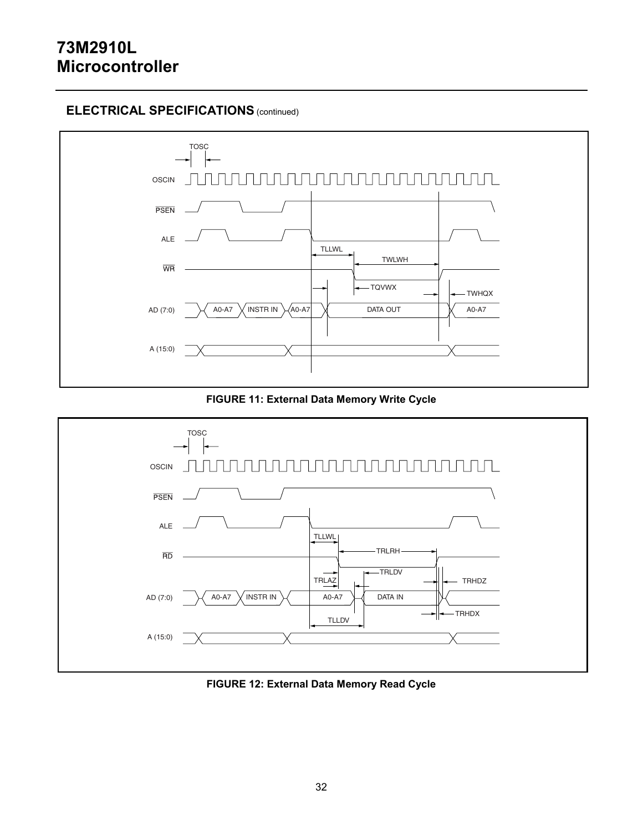## **ELECTRICAL SPECIFICATIONS** (continued)



**FIGURE 11: External Data Memory Write Cycle** 



**FIGURE 12: External Data Memory Read Cycle**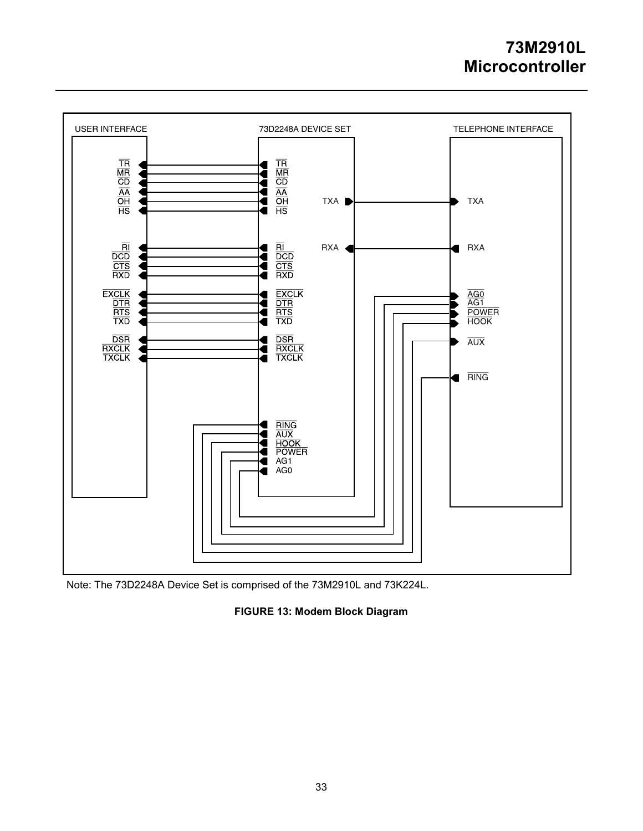

Note: The 73D2248A Device Set is comprised of the 73M2910L and 73K224L.

## **FIGURE 13: Modem Block Diagram**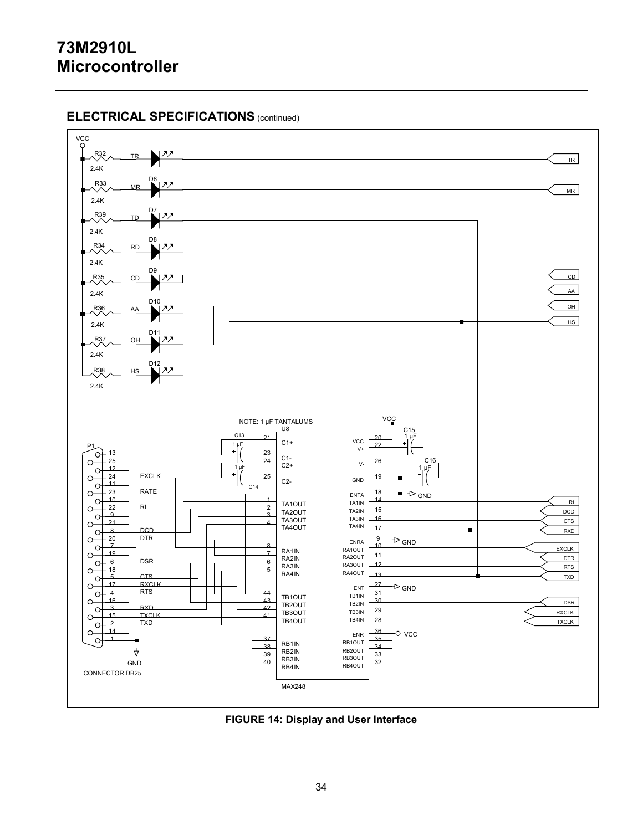# **ELECTRICAL SPECIFICATIONS** (continued)



**FIGURE 14: Display and User Interface**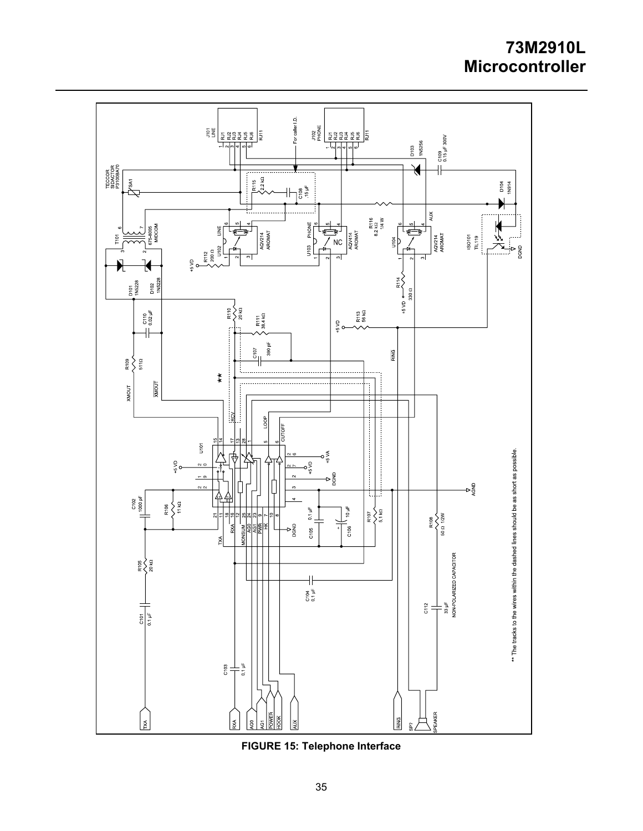

**FIGURE 15: Telephone Interface**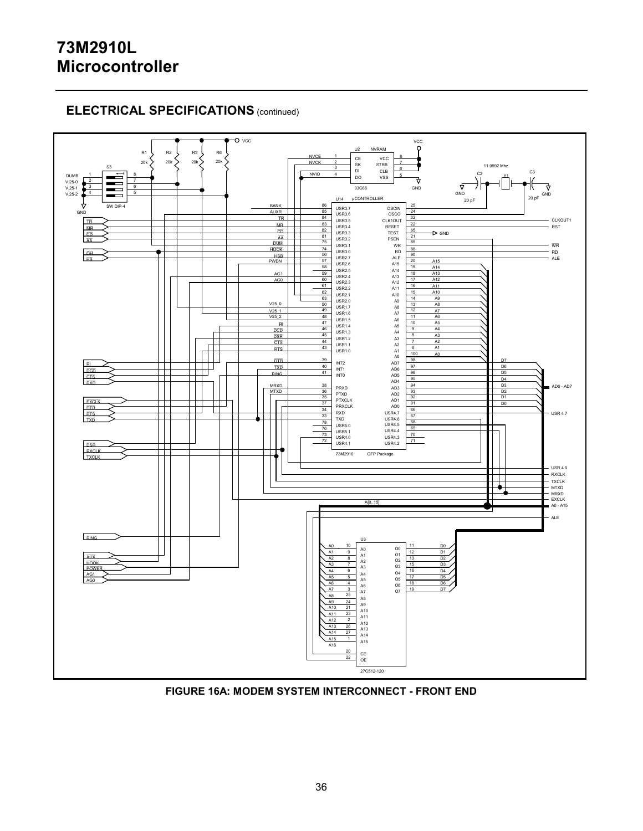# **ELECTRICAL SPECIFICATIONS** (continued)



**FIGURE 16A: MODEM SYSTEM INTERCONNECT - FRONT END**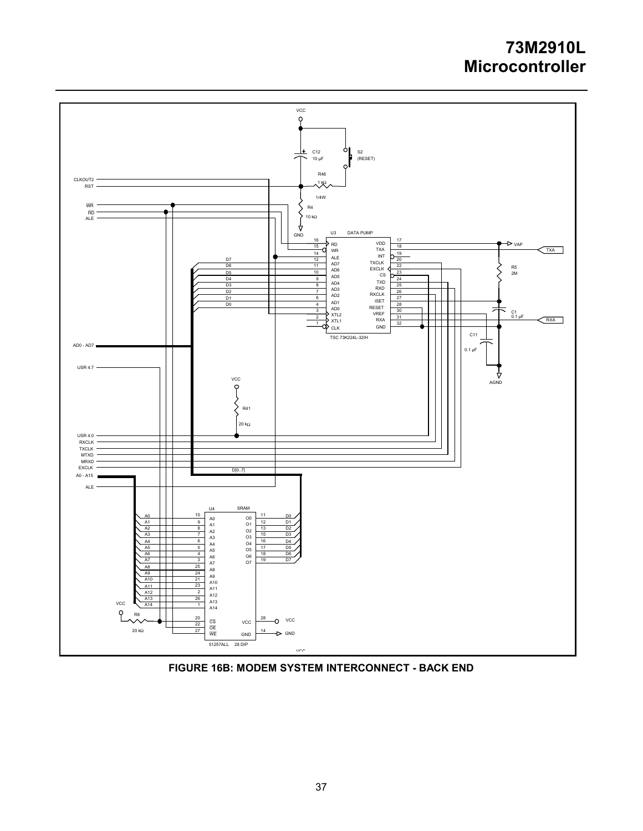

**FIGURE 16B: MODEM SYSTEM INTERCONNECT - BACK END**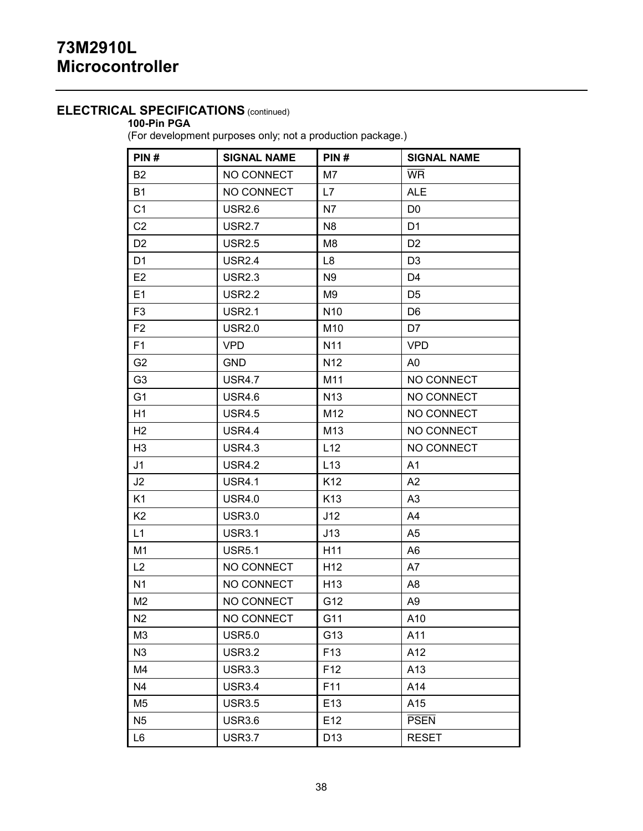## **ELECTRICAL SPECIFICATIONS** (continued)

## **100-Pin PGA**

(For development purposes only; not a production package.)

| PIN#           | <b>SIGNAL NAME</b> | PIN#            | <b>SIGNAL NAME</b> |  |
|----------------|--------------------|-----------------|--------------------|--|
| <b>B2</b>      | NO CONNECT         | M7              | <b>WR</b>          |  |
| <b>B1</b>      | NO CONNECT         | L7              | <b>ALE</b>         |  |
| C <sub>1</sub> | <b>USR2.6</b>      | N7              | D <sub>0</sub>     |  |
| C <sub>2</sub> | <b>USR2.7</b>      | N <sub>8</sub>  | D <sub>1</sub>     |  |
| D <sub>2</sub> | <b>USR2.5</b>      | M8              | D <sub>2</sub>     |  |
| D <sub>1</sub> | <b>USR2.4</b>      | L <sub>8</sub>  | D <sub>3</sub>     |  |
| E <sub>2</sub> | <b>USR2.3</b>      | N9              | D <sub>4</sub>     |  |
| E1             | <b>USR2.2</b>      | M9              | D <sub>5</sub>     |  |
| F <sub>3</sub> | <b>USR2.1</b>      | N <sub>10</sub> | D <sub>6</sub>     |  |
| F <sub>2</sub> | <b>USR2.0</b>      | M10             | D7                 |  |
| F <sub>1</sub> | <b>VPD</b>         | N <sub>11</sub> | <b>VPD</b>         |  |
| G <sub>2</sub> | <b>GND</b>         | N <sub>12</sub> | A0                 |  |
| G <sub>3</sub> | <b>USR4.7</b>      | M11             | NO CONNECT         |  |
| G <sub>1</sub> | <b>USR4.6</b>      | N <sub>13</sub> | NO CONNECT         |  |
| H1             | <b>USR4.5</b>      | M12             | NO CONNECT         |  |
| H <sub>2</sub> | <b>USR4.4</b>      | M13             | NO CONNECT         |  |
| H <sub>3</sub> | <b>USR4.3</b>      | L12             | NO CONNECT         |  |
| J <sub>1</sub> | <b>USR4.2</b>      | L13             | A1                 |  |
| J2             | <b>USR4.1</b>      | K <sub>12</sub> | A <sub>2</sub>     |  |
| K <sub>1</sub> | <b>USR4.0</b>      | K <sub>13</sub> | A <sub>3</sub>     |  |
| K <sub>2</sub> | <b>USR3.0</b>      | J12             | A4                 |  |
| L1             | <b>USR3.1</b>      | J13             | A5                 |  |
| M1             | <b>USR5.1</b>      | H <sub>11</sub> | A6                 |  |
| L2             | NO CONNECT         | H <sub>12</sub> | A7                 |  |
| N <sub>1</sub> | NO CONNECT         | H <sub>13</sub> | A8                 |  |
| M <sub>2</sub> | NO CONNECT         | G12             | A9                 |  |
| N2             | NO CONNECT         | G11             | A10                |  |
| M3             | <b>USR5.0</b>      | G13             | A11                |  |
| N3             | <b>USR3.2</b>      | F <sub>13</sub> | A12                |  |
| M4             | <b>USR3.3</b>      | F <sub>12</sub> | A13                |  |
| N4             | <b>USR3.4</b>      | F11             | A14                |  |
| M5             | <b>USR3.5</b>      | E13             | A15                |  |
| N <sub>5</sub> | <b>USR3.6</b>      | E12             | <b>PSEN</b>        |  |
| L6             | <b>USR3.7</b>      | D <sub>13</sub> | <b>RESET</b>       |  |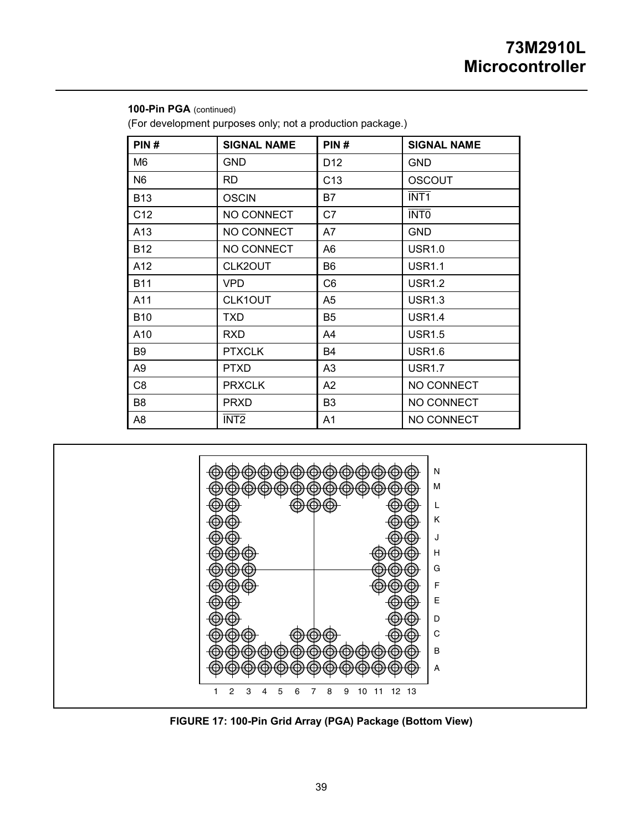| PIN#            | <b>SIGNAL NAME</b> | PIN#            | <b>SIGNAL NAME</b> |
|-----------------|--------------------|-----------------|--------------------|
| M6              | <b>GND</b>         | D <sub>12</sub> | <b>GND</b>         |
| N <sub>6</sub>  | <b>RD</b>          | C <sub>13</sub> | <b>OSCOUT</b>      |
| <b>B13</b>      | <b>OSCIN</b>       | B7              | <b>INT1</b>        |
| C <sub>12</sub> | NO CONNECT         | C7              | <b>INTO</b>        |
| A <sub>13</sub> | NO CONNECT         | A7              | <b>GND</b>         |
| <b>B12</b>      | NO CONNECT         | A6              | <b>USR1.0</b>      |
| A12             | CLK2OUT            | B <sub>6</sub>  | <b>USR1.1</b>      |
| <b>B11</b>      | <b>VPD</b>         | C <sub>6</sub>  | <b>USR1.2</b>      |
| A11             | CLK1OUT            | A <sub>5</sub>  | <b>USR1.3</b>      |
| <b>B10</b>      | <b>TXD</b>         | B <sub>5</sub>  | <b>USR1.4</b>      |
| A10             | <b>RXD</b>         | A4              | <b>USR1.5</b>      |
| B9              | <b>PTXCLK</b>      | <b>B4</b>       | <b>USR1.6</b>      |
| A <sub>9</sub>  | <b>PTXD</b>        | A <sub>3</sub>  | <b>USR1.7</b>      |
| C <sub>8</sub>  | <b>PRXCLK</b>      | A <sub>2</sub>  | NO CONNECT         |
| B8              | <b>PRXD</b>        | B <sub>3</sub>  | NO CONNECT         |
| A8              | <b>INT2</b>        | A <sub>1</sub>  | NO CONNECT         |

**100-Pin PGA** (continued) (For development purposes only; not a production package.)



**FIGURE 17: 100-Pin Grid Array (PGA) Package (Bottom View)**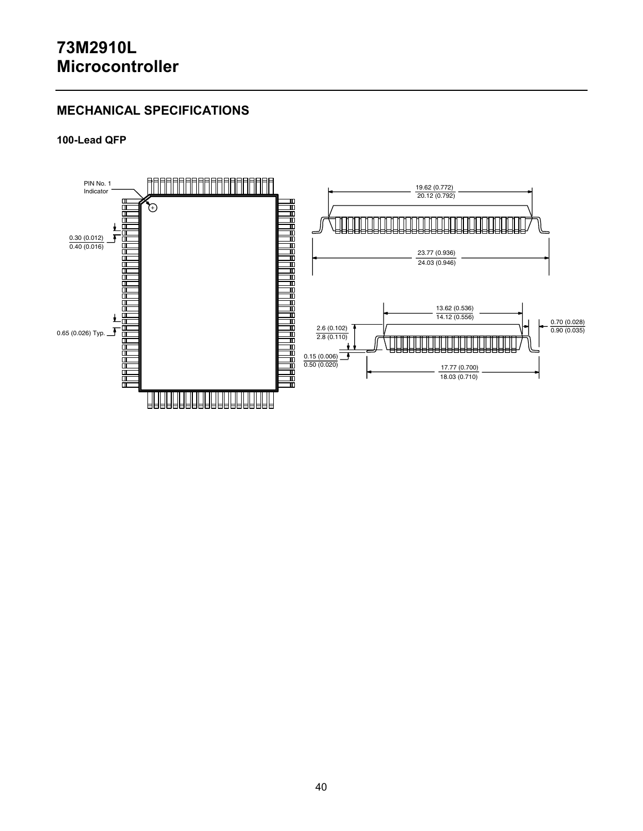# **MECHANICAL SPECIFICATIONS**

### **100-Lead QFP**